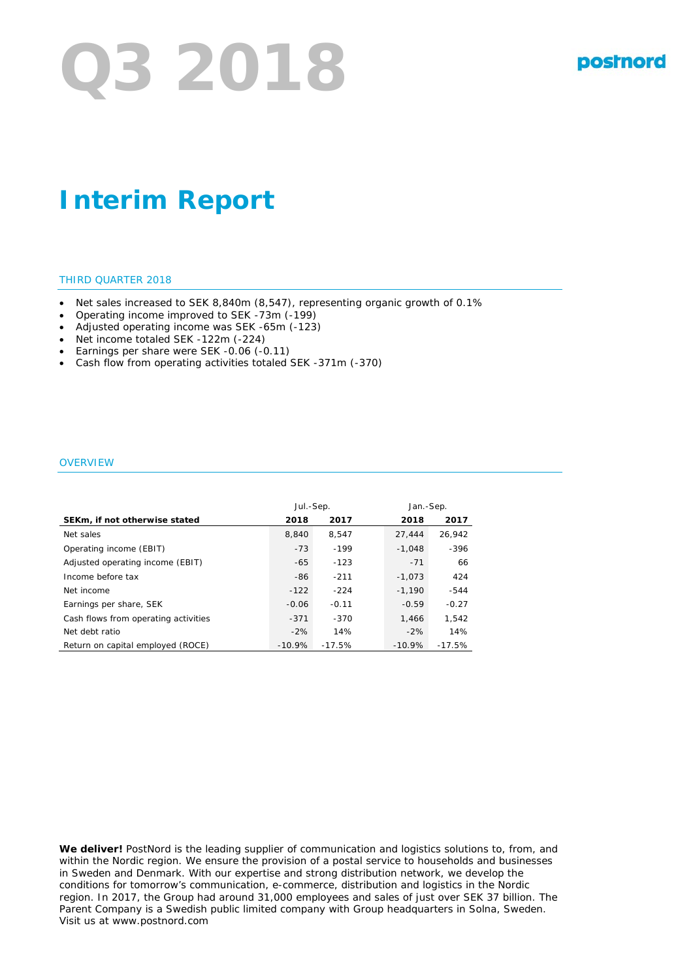# **Q3 2018**

# **Interim Report**

#### THIRD QUARTER 2018

- Net sales increased to SEK 8,840m (8,547), representing organic growth of 0.1%
- Operating income improved to SEK -73m (-199)
- Adjusted operating income was SEK -65m (-123)
- Net income totaled SEK -122m (-224)
- Earnings per share were SEK -0.06 (-0.11)
- Cash flow from operating activities totaled SEK -371m (-370)

#### **OVERVIEW**

|                                      | Jul.-Sep. |          | Jan.-Sep. |          |
|--------------------------------------|-----------|----------|-----------|----------|
| SEKm, if not otherwise stated        | 2018      | 2017     | 2018      | 2017     |
| Net sales                            | 8.840     | 8.547    | 27.444    | 26.942   |
| Operating income (EBIT)              | $-73$     | $-199$   | $-1.048$  | $-396$   |
| Adjusted operating income (EBIT)     | $-65$     | $-123$   | $-71$     | 66       |
| Income before tax                    | -86       | $-211$   | $-1.073$  | 424      |
| Net income                           | $-122$    | $-224$   | $-1.190$  | $-544$   |
| Earnings per share, SEK              | $-0.06$   | $-0.11$  | $-0.59$   | $-0.27$  |
| Cash flows from operating activities | $-371$    | $-370$   | 1.466     | 1.542    |
| Net debt ratio                       | $-2%$     | 14%      | $-2%$     | 14%      |
| Return on capital employed (ROCE)    | $-10.9%$  | $-17.5%$ | $-10.9%$  | $-17.5%$ |

**We deliver!** PostNord is the leading supplier of communication and logistics solutions to, from, and within the Nordic region. We ensure the provision of a postal service to households and businesses in Sweden and Denmark. With our expertise and strong distribution network, we develop the conditions for tomorrow's communication, e-commerce, distribution and logistics in the Nordic region. In 2017, the Group had around 31,000 employees and sales of just over SEK 37 billion. The Parent Company is a Swedish public limited company with Group headquarters in Solna, Sweden. Visit us at www.postnord.com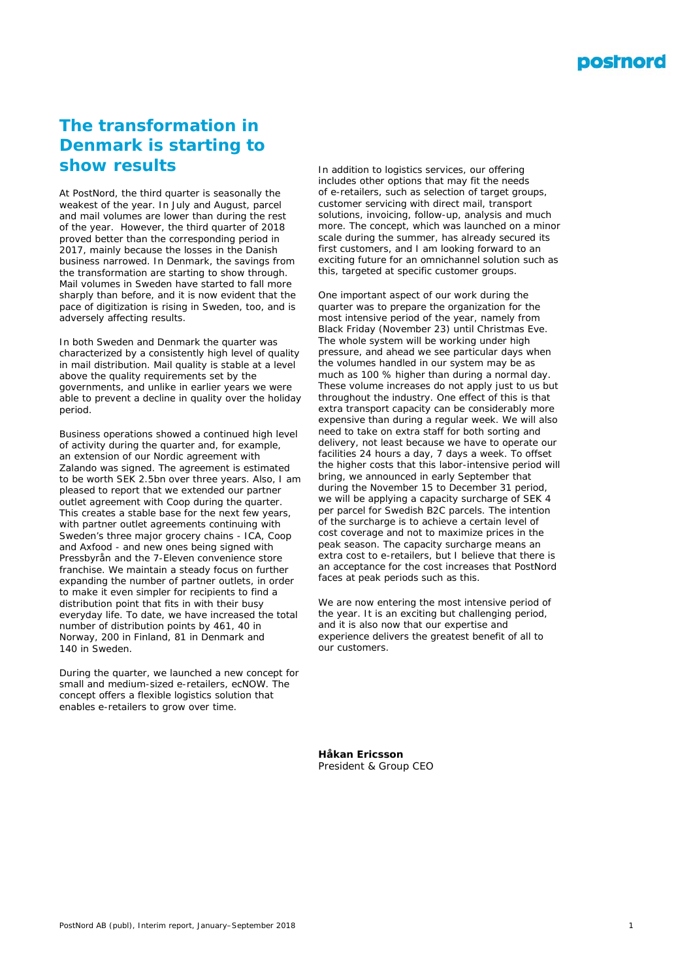

# **The transformation in Denmark is starting to show results**

At PostNord, the third quarter is seasonally the weakest of the year. In July and August, parcel and mail volumes are lower than during the rest of the year. However, the third quarter of 2018 proved better than the corresponding period in 2017, mainly because the losses in the Danish business narrowed. In Denmark, the savings from the transformation are starting to show through. Mail volumes in Sweden have started to fall more sharply than before, and it is now evident that the pace of digitization is rising in Sweden, too, and is adversely affecting results.

In both Sweden and Denmark the quarter was characterized by a consistently high level of quality in mail distribution. Mail quality is stable at a level above the quality requirements set by the governments, and unlike in earlier years we were able to prevent a decline in quality over the holiday period.

Business operations showed a continued high level of activity during the quarter and, for example, an extension of our Nordic agreement with Zalando was signed. The agreement is estimated to be worth SEK 2.5bn over three years. Also, I am pleased to report that we extended our partner outlet agreement with Coop during the quarter. This creates a stable base for the next few years, with partner outlet agreements continuing with Sweden's three major grocery chains - ICA, Coop and Axfood - and new ones being signed with Pressbyrån and the 7-Eleven convenience store franchise. We maintain a steady focus on further expanding the number of partner outlets, in order to make it even simpler for recipients to find a distribution point that fits in with their busy everyday life. To date, we have increased the total number of distribution points by 461, 40 in Norway, 200 in Finland, 81 in Denmark and 140 in Sweden.

During the quarter, we launched a new concept for small and medium-sized e-retailers, ecNOW. The concept offers a flexible logistics solution that enables e-retailers to grow over time.

In addition to logistics services, our offering includes other options that may fit the needs of e-retailers, such as selection of target groups, customer servicing with direct mail, transport solutions, invoicing, follow-up, analysis and much more. The concept, which was launched on a minor scale during the summer, has already secured its first customers, and I am looking forward to an exciting future for an omnichannel solution such as this, targeted at specific customer groups.

One important aspect of our work during the quarter was to prepare the organization for the most intensive period of the year, namely from Black Friday (November 23) until Christmas Eve. The whole system will be working under high pressure, and ahead we see particular days when the volumes handled in our system may be as much as 100 % higher than during a normal day. These volume increases do not apply just to us but throughout the industry. One effect of this is that extra transport capacity can be considerably more expensive than during a regular week. We will also need to take on extra staff for both sorting and delivery, not least because we have to operate our facilities 24 hours a day, 7 days a week. To offset the higher costs that this labor-intensive period will bring, we announced in early September that during the November 15 to December 31 period, we will be applying a capacity surcharge of SEK 4 per parcel for Swedish B2C parcels. The intention of the surcharge is to achieve a certain level of cost coverage and not to maximize prices in the peak season. The capacity surcharge means an extra cost to e-retailers, but I believe that there is an acceptance for the cost increases that PostNord faces at peak periods such as this.

We are now entering the most intensive period of the year. It is an exciting but challenging period, and it is also now that our expertise and experience delivers the greatest benefit of all to our customers.

**Håkan Ericsson** *President & Group CEO*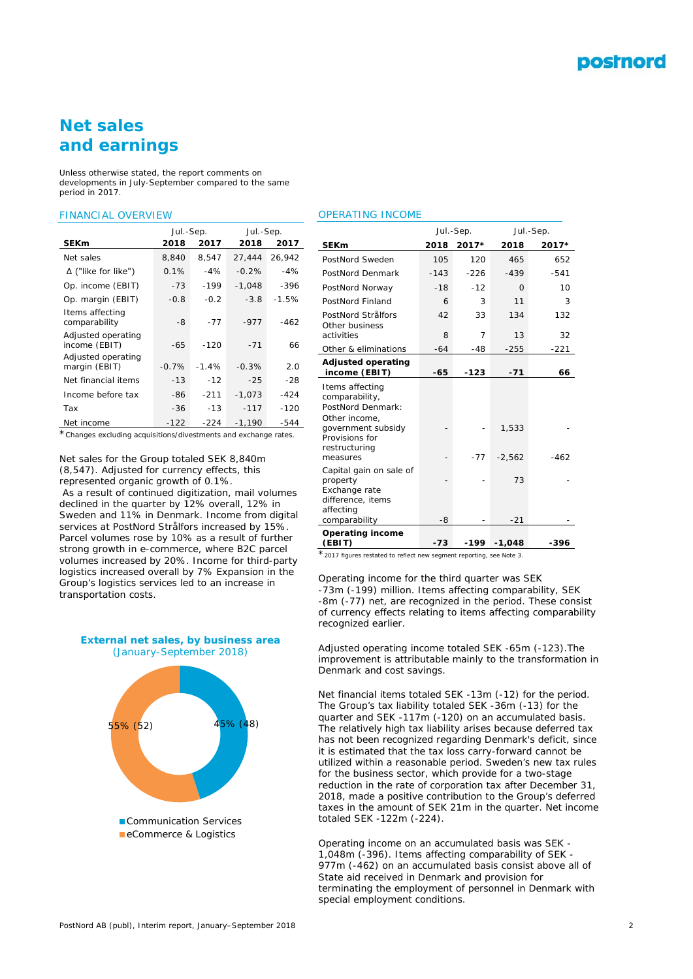# **Net sales and earnings**

*Unless otherwise stated, the report comments on developments in July-September compared to the same period in 2017.*

#### FINANCIAL OVERVIEW

|                                     | Jul.-Sep. |         | Jul.-Sep. |         |
|-------------------------------------|-----------|---------|-----------|---------|
| <b>SEKm</b>                         | 2018      | 2017    | 2018      | 2017    |
| Net sales                           | 8,840     | 8,547   | 27,444    | 26,942  |
| $\Delta$ ("like for like")          | 0.1%      | $-4%$   | $-0.2%$   | $-4%$   |
| Op. income (EBIT)                   | $-73$     | $-199$  | $-1,048$  | -396    |
| Op. margin (EBIT)                   | $-0.8$    | $-0.2$  | $-3.8$    | $-1.5%$ |
| Items affecting<br>comparability    | -8        | $-77$   | $-977$    | $-462$  |
| Adjusted operating<br>income (EBIT) | -65       | $-120$  | $-71$     | 66      |
| Adjusted operating<br>margin (EBIT) | $-0.7%$   | $-1.4%$ | $-0.3%$   | 2.0     |
| Net financial items                 | $-13$     | $-12$   | $-25$     | -28     |
| Income before tax                   | -86       | $-211$  | $-1.073$  | $-424$  |
| Tax                                 | $-36$     | $-13$   | $-117$    | $-120$  |
| Net income                          | $-122$    | $-224$  | $-1.190$  | $-544$  |

\**Changes excluding acquisitions/divestments and exchange rates.*

Net sales for the Group totaled SEK 8,840m (8,547). Adjusted for currency effects, this represented organic growth of 0.1%.

As a result of continued digitization, mail volumes declined in the quarter by 12% overall, 12% in Sweden and 11% in Denmark. Income from digital services at PostNord Strålfors increased by 15%. Parcel volumes rose by 10% as a result of further strong growth in e-commerce, where B2C parcel volumes increased by 20%. Income for third-party logistics increased overall by 7% Expansion in the Group's logistics services led to an increase in transportation costs.





#### OPERATING INCOME

|                                                                                                                                              |        | Jul.-Sep. | Jul.-Sep.         |        |
|----------------------------------------------------------------------------------------------------------------------------------------------|--------|-----------|-------------------|--------|
| <b>SEKm</b>                                                                                                                                  | 2018   | 2017*     | 2018              | 2017*  |
| PostNord Sweden                                                                                                                              | 105    | 120       | 465               | 652    |
| PostNord Denmark                                                                                                                             | $-143$ | $-226$    | $-439$            | $-541$ |
| PostNord Norway                                                                                                                              | $-18$  | $-12$     | $\Omega$          | 10     |
| PostNord Finland                                                                                                                             | 6      | 3         | 11                | 3      |
| PostNord Strålfors<br>Other business                                                                                                         | 42     | 33        | 134               | 132    |
| activities                                                                                                                                   | 8      | 7         | 13                | 32     |
| Other & eliminations                                                                                                                         | $-64$  | $-48$     | $-255$            | $-221$ |
| <b>Adjusted operating</b><br>income (EBIT)                                                                                                   | $-65$  | -123      | -71               | 66     |
| Items affecting<br>comparability,<br>PostNord Denmark:<br>Other income,<br>government subsidy<br>Provisions for<br>restructuring<br>measures |        | -77       | 1,533<br>$-2,562$ | $-462$ |
| Capital gain on sale of<br>property<br>Exchange rate<br>difference, items<br>affecting<br>comparability                                      | -8     |           | 73<br>$-21$       |        |
| <b>Operating income</b><br>(EBIT)                                                                                                            | $-73$  | -199      | $-1,048$          | -396   |

\**2017 figures restated to reflect new segment reporting, see Note 3.*

Operating income for the third quarter was SEK -73m (-199) million. Items affecting comparability, SEK -8m (-77) net, are recognized in the period. These consist of currency effects relating to items affecting comparability recognized earlier.

Adjusted operating income totaled SEK -65m (-123).The improvement is attributable mainly to the transformation in Denmark and cost savings.

Net financial items totaled SEK -13m (-12) for the period. The Group's tax liability totaled SEK -36m (-13) for the quarter and SEK -117m (-120) on an accumulated basis. The relatively high tax liability arises because deferred tax has not been recognized regarding Denmark's deficit, since it is estimated that the tax loss carry-forward cannot be utilized within a reasonable period. Sweden's new tax rules for the business sector, which provide for a two-stage reduction in the rate of corporation tax after December 31, 2018, made a positive contribution to the Group's deferred taxes in the amount of SEK 21m in the quarter. Net income totaled SEK -122m (-224).

Operating income on an accumulated basis was SEK - 1,048m (-396). Items affecting comparability of SEK - 977m (-462) on an accumulated basis consist above all of State aid received in Denmark and provision for terminating the employment of personnel in Denmark with special employment conditions.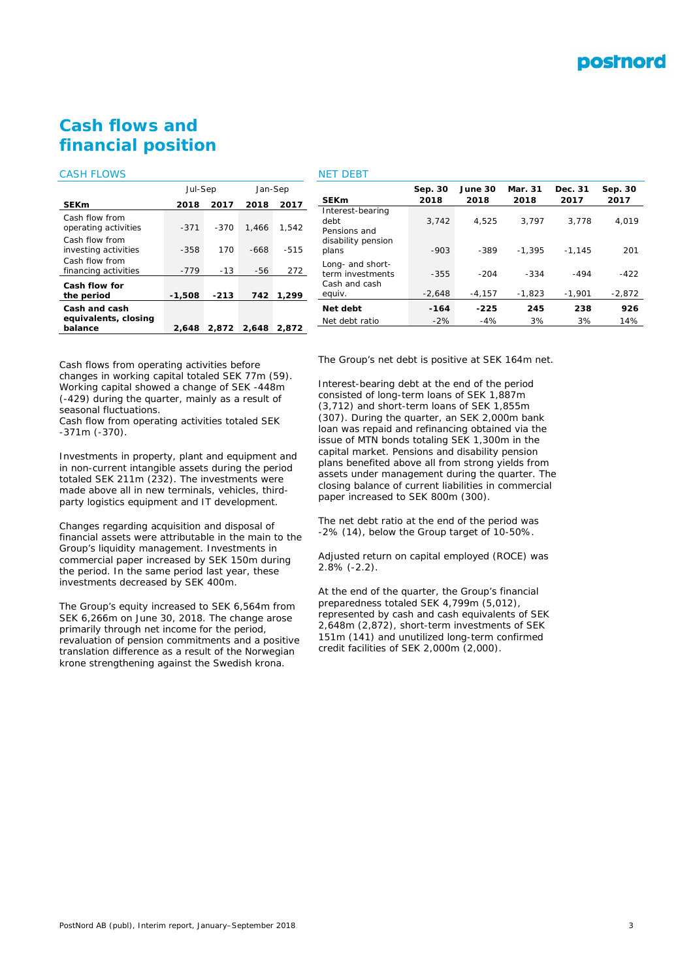

# **Cash flows and financial position**

#### CASH FLOWS

|                                        | Jul-Sep  |        | Jan-Sep |        |  |
|----------------------------------------|----------|--------|---------|--------|--|
| <b>SEKm</b>                            | 2018     | 2017   | 2018    | 2017   |  |
| Cash flow from<br>operating activities | $-371$   | $-370$ | 1.466   | 1.542  |  |
| Cash flow from<br>investing activities | $-358$   | 170    | -668    | $-515$ |  |
| Cash flow from<br>financing activities | $-779$   | $-13$  | -56     | 272    |  |
| Cash flow for<br>the period            | $-1,508$ | $-213$ | 742     | 1.299  |  |
| Cash and cash<br>equivalents, closing  |          |        |         |        |  |
| balance                                | 2,648    | 2.872  | 2.648   | 2.872  |  |

## NET DEBT

| <b>SEKm</b>                                                    | Sep. 30<br>2018 | June 30<br>2018 | Mar. 31<br>2018 | Dec. 31<br>2017 | Sep. 30<br>2017 |
|----------------------------------------------------------------|-----------------|-----------------|-----------------|-----------------|-----------------|
| Interest-bearing<br>debt<br>Pensions and<br>disability pension | 3.742           | 4.525           | 3.797           | 3.778           | 4,019           |
| plans                                                          | $-903$          | $-389$          | $-1.395$        | $-1.145$        | 201             |
| Long- and short-<br>term investments<br>Cash and cash          | $-355$          | $-204$          | $-334$          | $-494$          | $-422$          |
| equiv.                                                         | $-2,648$        | $-4,157$        | $-1,823$        | $-1,901$        | $-2,872$        |
| Net debt                                                       | $-164$          | $-225$          | 245             | 238             | 926             |
| Net debt ratio                                                 | $-2%$           | $-4%$           | 3%              | 3%              | 14%             |
|                                                                |                 |                 |                 |                 |                 |

Cash flows from operating activities before changes in working capital totaled SEK 77m (59). Working capital showed a change of SEK -448m (-429) during the quarter, mainly as a result of seasonal fluctuations.

Cash flow from operating activities totaled SEK -371m (-370).

Investments in property, plant and equipment and in non-current intangible assets during the period totaled SEK 211m (232). The investments were made above all in new terminals, vehicles, thirdparty logistics equipment and IT development.

Changes regarding acquisition and disposal of financial assets were attributable in the main to the Group's liquidity management. Investments in commercial paper increased by SEK 150m during the period. In the same period last year, these investments decreased by SEK 400m.

The Group's equity increased to SEK 6,564m from SEK 6,266m on June 30, 2018. The change arose primarily through net income for the period, revaluation of pension commitments and a positive translation difference as a result of the Norwegian krone strengthening against the Swedish krona.

The Group's net debt is positive at SEK 164m net.

Interest-bearing debt at the end of the period consisted of long-term loans of SEK 1,887m (3,712) and short-term loans of SEK 1,855m (307). During the quarter, an SEK 2,000m bank loan was repaid and refinancing obtained via the issue of MTN bonds totaling SEK 1,300m in the capital market. Pensions and disability pension plans benefited above all from strong yields from assets under management during the quarter. The closing balance of current liabilities in commercial paper increased to SEK 800m (300).

The net debt ratio at the end of the period was -2% (14), below the Group target of 10-50%.

Adjusted return on capital employed (ROCE) was 2.8% (-2.2).

At the end of the quarter, the Group's financial preparedness totaled SEK 4,799m (5,012), represented by cash and cash equivalents of SEK 2,648m (2,872), short-term investments of SEK 151m (141) and unutilized long-term confirmed credit facilities of SEK 2,000m (2,000).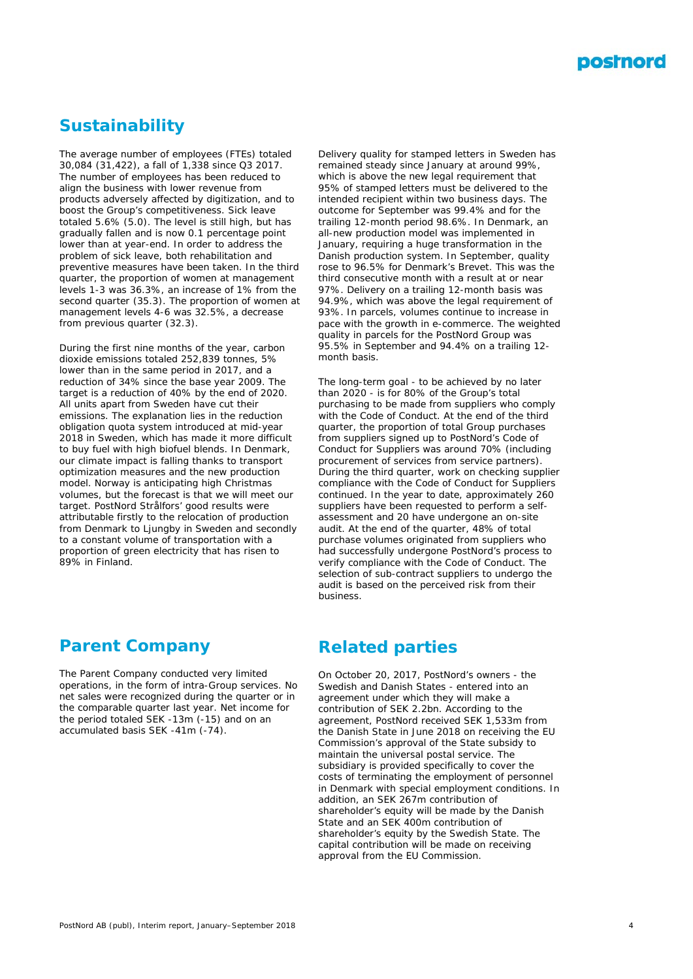

# **Sustainability**

The average number of employees (FTEs) totaled 30,084 (31,422), a fall of 1,338 since Q3 2017. The number of employees has been reduced to align the business with lower revenue from products adversely affected by digitization, and to boost the Group's competitiveness. Sick leave totaled 5.6% (5.0). The level is still high, but has gradually fallen and is now 0.1 percentage point lower than at year-end. In order to address the problem of sick leave, both rehabilitation and preventive measures have been taken. In the third quarter, the proportion of women at management levels 1-3 was 36.3%, an increase of 1% from the second quarter (35.3). The proportion of women at management levels 4-6 was 32.5%, a decrease from previous quarter (32.3).

During the first nine months of the year, carbon dioxide emissions totaled 252,839 tonnes, 5% lower than in the same period in 2017, and a reduction of 34% since the base year 2009. The target is a reduction of 40% by the end of 2020. All units apart from Sweden have cut their emissions. The explanation lies in the reduction obligation quota system introduced at mid-year 2018 in Sweden, which has made it more difficult to buy fuel with high biofuel blends. In Denmark, our climate impact is falling thanks to transport optimization measures and the new production model. Norway is anticipating high Christmas volumes, but the forecast is that we will meet our target. PostNord Strålfors' good results were attributable firstly to the relocation of production from Denmark to Ljungby in Sweden and secondly to a constant volume of transportation with a proportion of green electricity that has risen to 89% in Finland.

Delivery quality for stamped letters in Sweden has remained steady since January at around 99%, which is above the new legal requirement that 95% of stamped letters must be delivered to the intended recipient within two business days. The outcome for September was 99.4% and for the trailing 12-month period 98.6%. In Denmark, an all-new production model was implemented in January, requiring a huge transformation in the Danish production system. In September, quality rose to 96.5% for Denmark's Brevet. This was the third consecutive month with a result at or near 97%. Delivery on a trailing 12-month basis was 94.9%, which was above the legal requirement of 93%. In parcels, volumes continue to increase in pace with the growth in e-commerce. The weighted quality in parcels for the PostNord Group was 95.5% in September and 94.4% on a trailing 12 month basis.

The long-term goal - to be achieved by no later than 2020 - is for 80% of the Group's total purchasing to be made from suppliers who comply with the Code of Conduct. At the end of the third quarter, the proportion of total Group purchases from suppliers signed up to PostNord's Code of Conduct for Suppliers was around 70% (including procurement of services from service partners). During the third quarter, work on checking supplier compliance with the Code of Conduct for Suppliers continued. In the year to date, approximately 260 suppliers have been requested to perform a selfassessment and 20 have undergone an on-site audit. At the end of the quarter, 48% of total purchase volumes originated from suppliers who had successfully undergone PostNord's process to verify compliance with the Code of Conduct. The selection of sub-contract suppliers to undergo the audit is based on the perceived risk from their business.

# **Parent Company**

The Parent Company conducted very limited operations, in the form of intra-Group services. No net sales were recognized during the quarter or in the comparable quarter last year. Net income for the period totaled SEK -13m (-15) and on an accumulated basis SEK -41m (-74).

# **Related parties**

On October 20, 2017, PostNord's owners - the Swedish and Danish States - entered into an agreement under which they will make a contribution of SEK 2.2bn. According to the agreement, PostNord received SEK 1,533m from the Danish State in June 2018 on receiving the EU Commission's approval of the State subsidy to maintain the universal postal service. The subsidiary is provided specifically to cover the costs of terminating the employment of personnel in Denmark with special employment conditions. In addition, an SEK 267m contribution of shareholder's equity will be made by the Danish State and an SEK 400m contribution of shareholder's equity by the Swedish State. The capital contribution will be made on receiving approval from the EU Commission.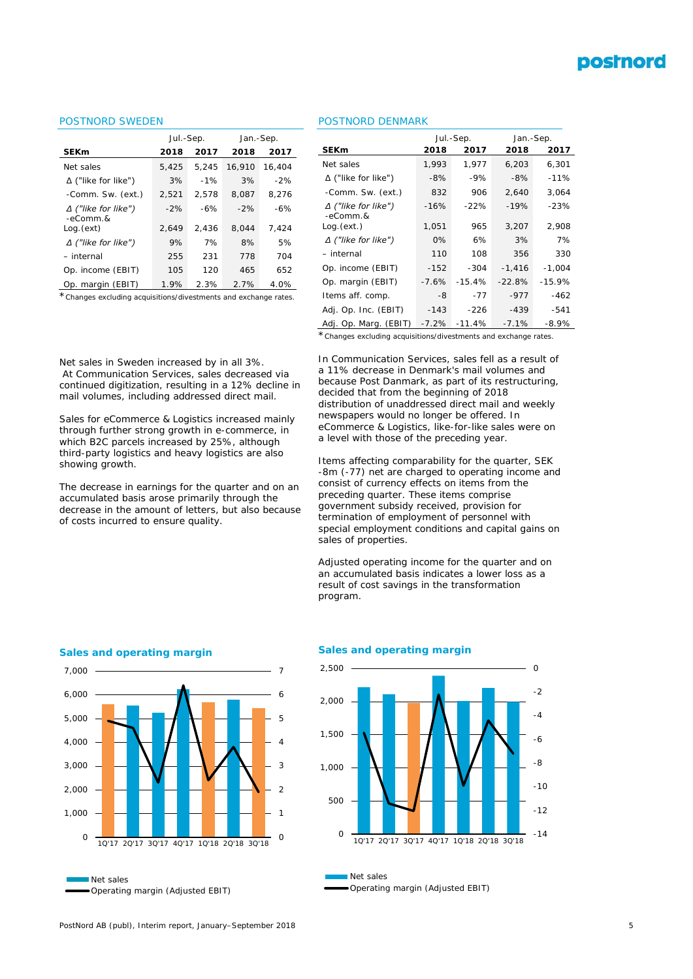# **postnord**

#### POSTNORD SWEDEN

|                                         | Jul.-Sep. |       | Jan.-Sep. |        |  |
|-----------------------------------------|-----------|-------|-----------|--------|--|
| <b>SEKm</b>                             | 2018      | 2017  | 2018      | 2017   |  |
| Net sales                               | 5,425     | 5.245 | 16.910    | 16,404 |  |
| ∆ ("like for like")                     | 3%        | $-1%$ | 3%        | $-2%$  |  |
| -Comm. Sw. (ext.)                       | 2,521     | 2.578 | 8.087     | 8.276  |  |
| $\Delta$ ("like for like")<br>$-eComm.$ | $-2%$     | $-6%$ | $-2%$     | $-6%$  |  |
| Log. (ext)                              | 2.649     | 2.436 | 8.044     | 7.424  |  |
| $\Delta$ ("like for like")              | 9%        | 7%    | 8%        | 5%     |  |
| - internal                              | 255       | 231   | 778       | 704    |  |
| Op. income (EBIT)                       | 105       | 120   | 465       | 652    |  |
| Op. margin (EBIT)                       | 1.9%      | 2.3%  | 2.7%      | 4.0%   |  |

\**Changes excluding acquisitions/divestments and exchange rates.*

#### POSTNORD DENMARK

|                                        |         | Jul.-Sep. | Jan.-Sep. |          |  |
|----------------------------------------|---------|-----------|-----------|----------|--|
| <b>SEKm</b>                            | 2018    | 2017      | 2018      | 2017     |  |
| Net sales                              | 1,993   | 1,977     | 6,203     | 6,301    |  |
| $\Delta$ ("like for like")             | -8%     | $-9%$     | $-8%$     | $-11%$   |  |
| -Comm. Sw. (ext.)                      | 832     | 906       | 2,640     | 3,064    |  |
| $\Delta$ ("like for like")<br>-eComm.& | $-16%$  | $-22%$    | $-19%$    | $-23%$   |  |
| Log.(ext.)                             | 1,051   | 965       | 3,207     | 2,908    |  |
| $\Delta$ ("like for like")             | 0%      | 6%        | 3%        | 7%       |  |
| – internal                             | 110     | 108       | 356       | 330      |  |
| Op. income (EBIT)                      | $-152$  | $-304$    | $-1,416$  | $-1,004$ |  |
| Op. margin (EBIT)                      | $-7.6%$ | $-15.4%$  | $-22.8%$  | $-15.9%$ |  |
| Items aff. comp.                       | -8      | $-77$     | $-977$    | $-462$   |  |
| Adj. Op. Inc. (EBIT)                   | $-143$  | $-226$    | $-439$    | -541     |  |
| Adj. Op. Marg. (EBIT)                  | -7.2%   | $-11.4%$  | $-7.1%$   | $-8.9%$  |  |

\**Changes excluding acquisitions/divestments and exchange rates.*

Net sales in Sweden increased by in all 3%. At Communication Services, sales decreased via continued digitization, resulting in a 12% decline in mail volumes, including addressed direct mail.

Sales for eCommerce & Logistics increased mainly through further strong growth in e-commerce, in which B2C parcels increased by 25%, although third-party logistics and heavy logistics are also showing growth.

The decrease in earnings for the quarter and on an accumulated basis arose primarily through the decrease in the amount of letters, but also because of costs incurred to ensure quality.

In Communication Services, sales fell as a result of a 11% decrease in Denmark's mail volumes and because Post Danmark, as part of its restructuring, decided that from the beginning of 2018 distribution of unaddressed direct mail and weekly newspapers would no longer be offered. In eCommerce & Logistics, like-for-like sales were on a level with those of the preceding year.

Items affecting comparability for the quarter, SEK -8m (-77) net are charged to operating income and consist of currency effects on items from the preceding quarter. These items comprise government subsidy received, provision for termination of employment of personnel with special employment conditions and capital gains on sales of properties.

Adjusted operating income for the quarter and on an accumulated basis indicates a lower loss as a result of cost savings in the transformation program.



#### **Sales and operating margin**

**Sales and operating margin**



Net sales Operating margin (Adjusted EBIT)

Operating margin (Adjusted EBIT)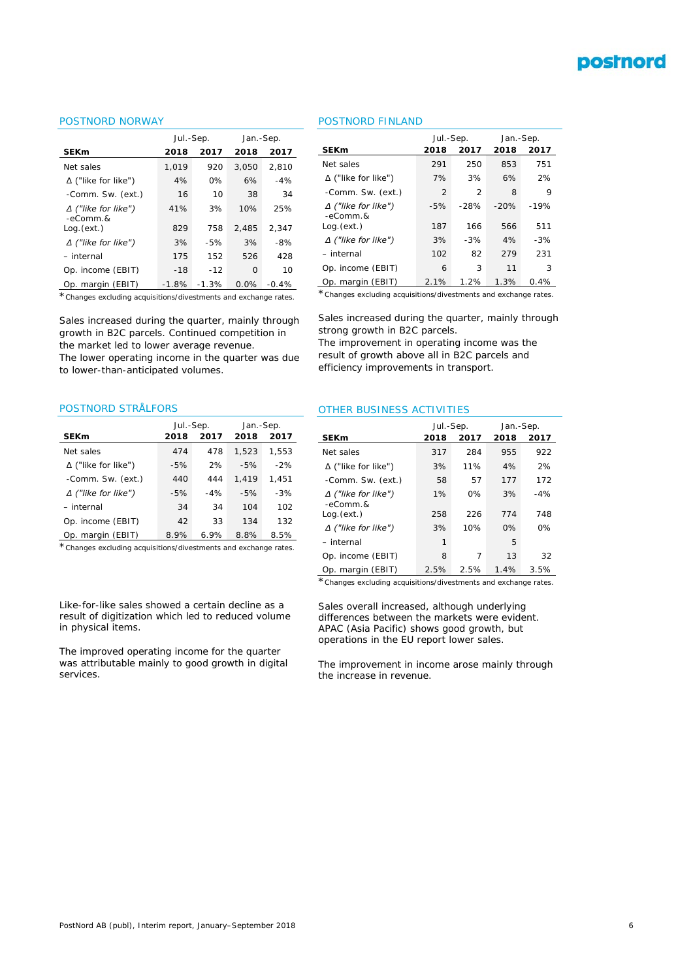

#### POSTNORD NORWAY

|                                         | Jul.-Sep. |         | Jan.-Sep. |         |  |
|-----------------------------------------|-----------|---------|-----------|---------|--|
| <b>SEKm</b>                             | 2018      | 2017    | 2018      | 2017    |  |
| Net sales                               | 1.019     | 920     | 3.050     | 2.810   |  |
| $\Delta$ ("like for like")              | 4%        | 0%      | 6%        | $-4%$   |  |
| -Comm. Sw. (ext.)                       | 16        | 10      | 38        | 34      |  |
| $\Delta$ ("like for like")<br>$-eComm.$ | 41%       | 3%      | 10%       | 25%     |  |
| Log. (ext.)                             | 829       | 758     | 2.485     | 2.347   |  |
| $\Delta$ ("like for like")              | 3%        | $-5%$   | 3%        | $-8%$   |  |
| - internal                              | 175       | 152     | 526       | 428     |  |
| Op. income (EBIT)                       | $-18$     | $-12$   | $\Omega$  | 10      |  |
| Op. margin (EBIT)                       | $-1.8%$   | $-1.3%$ | 0.0%      | $-0.4%$ |  |

\**Changes excluding acquisitions/divestments and exchange rates.*

Sales increased during the quarter, mainly through growth in B2C parcels. Continued competition in the market led to lower average revenue.

The lower operating income in the quarter was due to lower-than-anticipated volumes.

#### POSTNORD STRÅLFORS

|                            | Jul.-Sep. |       | Jan.-Sep. |       |  |
|----------------------------|-----------|-------|-----------|-------|--|
| <b>SEKm</b>                | 2018      | 2017  | 2018      | 2017  |  |
| Net sales                  | 474       | 478   | 1.523     | 1,553 |  |
| $\Delta$ ("like for like") | $-5%$     | 2%    | $-5%$     | $-2%$ |  |
| -Comm. Sw. (ext.)          | 440       | 444   | 1.419     | 1.451 |  |
| $\Delta$ ("like for like") | $-5%$     | $-4%$ | $-5%$     | $-3%$ |  |
| - internal                 | 34        | 34    | 104       | 102   |  |
| Op. income (EBIT)          | 42        | 33    | 134       | 132   |  |
| Op. margin (EBIT)          | 8.9%      | 6.9%  | 8.8%      | 8.5%  |  |

\**Changes excluding acquisitions/divestments and exchange rates.*

Like-for-like sales showed a certain decline as a result of digitization which led to reduced volume in physical items.

The improved operating income for the quarter was attributable mainly to good growth in digital services.

#### POSTNORD FINLAND

|                                          | Jul.-Sep. |        | Jan.-Sep. |        |  |
|------------------------------------------|-----------|--------|-----------|--------|--|
| <b>SEKm</b>                              | 2018      | 2017   | 2018      | 2017   |  |
| Net sales                                | 291       | 250    | 853       | 751    |  |
| $\Delta$ ("like for like")               | 7%        | 3%     | 6%        | 2%     |  |
| -Comm. Sw. (ext.)                        | 2         | 2      | 8         | 9      |  |
| $\Delta$ ("like for like")<br>$-eComm.8$ | $-5%$     | $-28%$ | $-20%$    | $-19%$ |  |
| Log (ext.)                               | 187       | 166    | 566       | 511    |  |
| $\Delta$ ("like for like")               | 3%        | $-3%$  | 4%        | $-3%$  |  |
| - internal                               | 102       | 82     | 279       | 231    |  |
| Op. income (EBIT)                        | 6         | 3      | 11        | 3      |  |
| Op. margin (EBIT)                        | 2.1%      | 1.2%   | 1.3%      | 0.4%   |  |

\**Changes excluding acquisitions/divestments and exchange rates.*

Sales increased during the quarter, mainly through strong growth in B2C parcels.

The improvement in operating income was the result of growth above all in B2C parcels and efficiency improvements in transport.

#### OTHER BUSINESS ACTIVITIES

|                                          | Jul.-Sep. |      | Jan.-Sep. |       |  |
|------------------------------------------|-----------|------|-----------|-------|--|
| <b>SEKm</b>                              | 2018      | 2017 | 2018      | 2017  |  |
| Net sales                                | 317       | 284  | 955       | 922   |  |
| $\Delta$ ("like for like")               | 3%        | 11%  | 4%        | 2%    |  |
| -Comm. Sw. (ext.)                        | 58        | 57   | 177       | 172   |  |
| $\Delta$ ("like for like")<br>$-eComm.8$ | 1%        | 0%   | 3%        | $-4%$ |  |
| Log (ext.)                               | 258       | 226  | 774       | 748   |  |
| $\Delta$ ("like for like")               | 3%        | 10%  | 0%        | ሰ%    |  |
| $-$ internal                             | 1         |      | 5         |       |  |
| Op. income (EBIT)                        | 8         | 7    | 13        | 32    |  |
| Op. margin (EBIT)                        | 2.5%      | 2.5% | 1.4%      | 3.5%  |  |

\**Changes excluding acquisitions/divestments and exchange rates.*

Sales overall increased, although underlying differences between the markets were evident. APAC (Asia Pacific) shows good growth, but operations in the EU report lower sales.

The improvement in income arose mainly through the increase in revenue.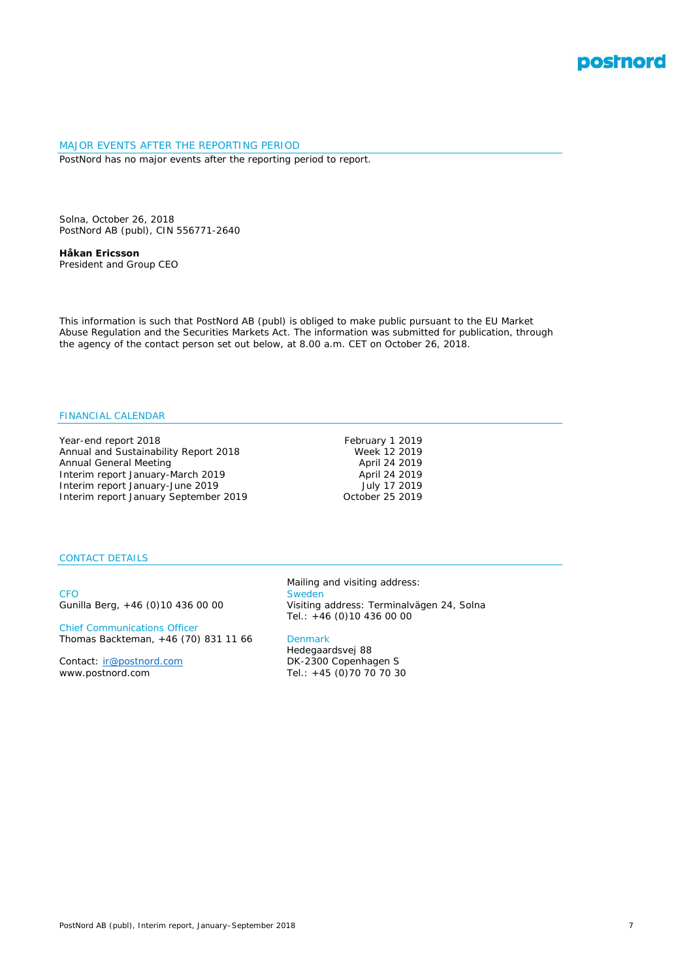

#### MAJOR EVENTS AFTER THE REPORTING PERIOD PostNord has no major events after the reporting period to report.

Solna, October 26, 2018 PostNord AB (publ), CIN 556771-2640

**Håkan Ericsson** *President and Group CEO*

This information is such that PostNord AB (publ) is obliged to make public pursuant to the EU Market Abuse Regulation and the Securities Markets Act. The information was submitted for publication, through the agency of the contact person set out below, at 8.00 a.m. CET on October 26, 2018.

### FINANCIAL CALENDAR

Year-end report 2018<br>
Annual and Sustainability Report 2018<br>
Week 12 2019 Annual and Sustainability Report 2018<br>
Annual General Meeting<br>
April 24 2019 Annual General Meeting<br>
1991 - There April 24 2019<br>
April 24 2019 Interim report January-March 2019 Interim report January-June 2019 July 17 2019 Interim report January September 2019

#### CONTACT DETAILS

CFO Sweden<br>Gunilla Berg, +46 (0)10 436 00 00 Visiting

Chief Communications Officer Thomas Backteman, +46 (70) 831 11 66 Denmark

Contact: [ir@postnord.com](mailto:ir@postnord.com)<br>www.postnord.com

Mailing and visiting address: Visiting address: Terminalvägen 24, Solna Tel.: +46 (0)10 436 00 00

Hedegaardsvej 88<br>DK-2300 Copenhagen S Tel.: +45 (0)70 70 70 30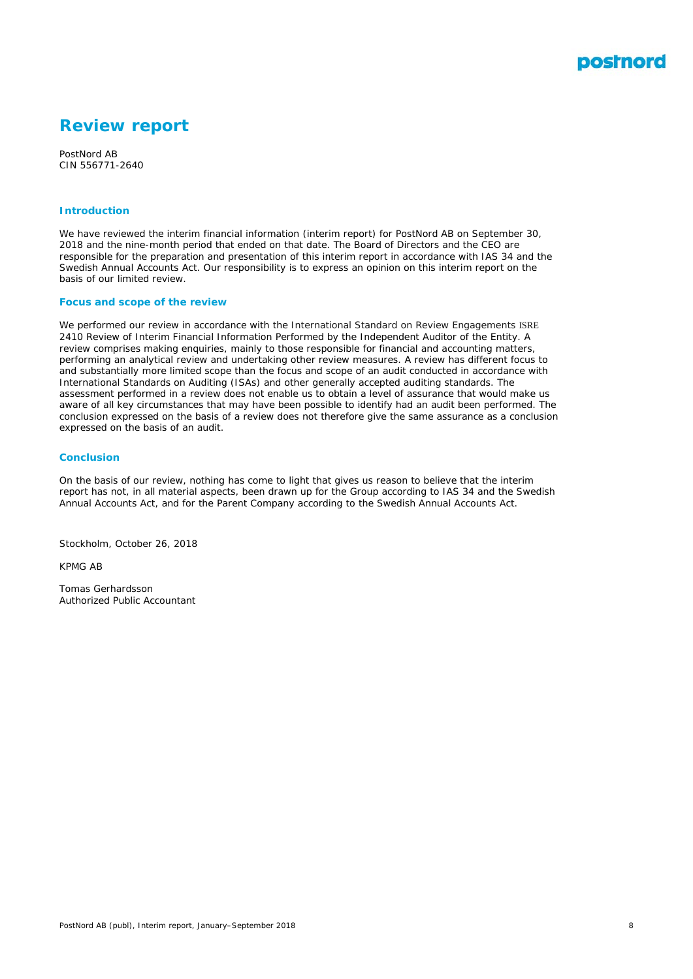

# **Review report**

PostNord AB CIN 556771-2640

#### **Introduction**

We have reviewed the interim financial information (interim report) for PostNord AB on September 30, 2018 and the nine-month period that ended on that date. The Board of Directors and the CEO are responsible for the preparation and presentation of this interim report in accordance with IAS 34 and the Swedish Annual Accounts Act. Our responsibility is to express an opinion on this interim report on the basis of our limited review.

#### **Focus and scope of the review**

We performed our review in accordance with the International Standard on Review Engagements ISRE 2410 *Review of Interim Financial Information Performed by the Independent Auditor of the Entity*. A review comprises making enquiries, mainly to those responsible for financial and accounting matters, performing an analytical review and undertaking other review measures. A review has different focus to and substantially more limited scope than the focus and scope of an audit conducted in accordance with International Standards on Auditing (ISAs) and other generally accepted auditing standards. The assessment performed in a review does not enable us to obtain a level of assurance that would make us aware of all key circumstances that may have been possible to identify had an audit been performed. The conclusion expressed on the basis of a review does not therefore give the same assurance as a conclusion expressed on the basis of an audit.

#### **Conclusion**

On the basis of our review, nothing has come to light that gives us reason to believe that the interim report has not, in all material aspects, been drawn up for the Group according to IAS 34 and the Swedish Annual Accounts Act, and for the Parent Company according to the Swedish Annual Accounts Act.

Stockholm, October 26, 2018

KPMG AB

Tomas Gerhardsson Authorized Public Accountant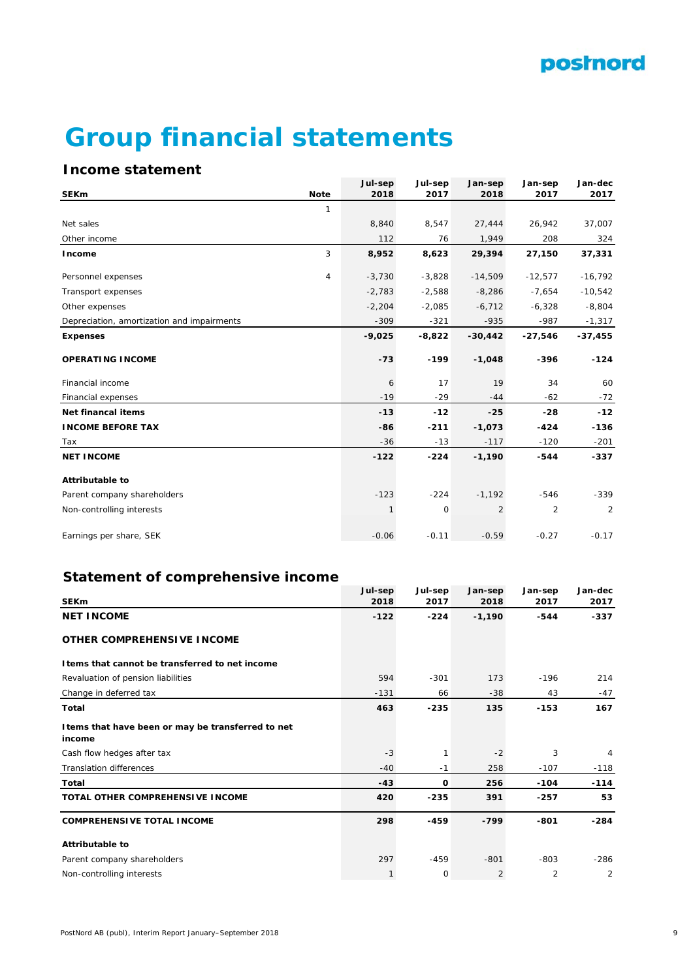# **Group financial statements**

# **Income statement**

|                                            |                | Jul-sep  | Jul-sep     | Jan-sep        | Jan-sep        | Jan-dec   |
|--------------------------------------------|----------------|----------|-------------|----------------|----------------|-----------|
| <b>SEKm</b>                                | <b>Note</b>    | 2018     | 2017        | 2018           | 2017           | 2017      |
|                                            | $\mathbf{1}$   |          |             |                |                |           |
| Net sales                                  |                | 8,840    | 8,547       | 27,444         | 26,942         | 37,007    |
| Other income                               |                | 112      | 76          | 1,949          | 208            | 324       |
| Income                                     | 3              | 8,952    | 8,623       | 29,394         | 27,150         | 37,331    |
| Personnel expenses                         | $\overline{4}$ | $-3,730$ | $-3,828$    | $-14,509$      | $-12,577$      | $-16,792$ |
| Transport expenses                         |                | $-2,783$ | $-2,588$    | $-8,286$       | $-7,654$       | $-10,542$ |
| Other expenses                             |                | $-2,204$ | $-2,085$    | $-6,712$       | $-6,328$       | $-8,804$  |
| Depreciation, amortization and impairments |                | $-309$   | $-321$      | $-935$         | $-987$         | $-1,317$  |
| <b>Expenses</b>                            |                | $-9,025$ | $-8,822$    | $-30,442$      | $-27,546$      | $-37,455$ |
| <b>OPERATING INCOME</b>                    |                | $-73$    | $-199$      | $-1,048$       | -396           | $-124$    |
| Financial income                           |                | 6        | 17          | 19             | 34             | 60        |
| Financial expenses                         |                | $-19$    | $-29$       | $-44$          | $-62$          | $-72$     |
| Net financal items                         |                | $-13$    | $-12$       | $-25$          | $-28$          | $-12$     |
| <b>INCOME BEFORE TAX</b>                   |                | -86      | $-211$      | $-1,073$       | $-424$         | $-136$    |
| Tax                                        |                | $-36$    | $-13$       | $-117$         | $-120$         | $-201$    |
| <b>NET INCOME</b>                          |                | $-122$   | $-224$      | $-1,190$       | $-544$         | $-337$    |
| <b>Attributable to</b>                     |                |          |             |                |                |           |
| Parent company shareholders                |                | $-123$   | $-224$      | $-1,192$       | $-546$         | $-339$    |
| Non-controlling interests                  |                | 1        | $\mathbf 0$ | $\overline{2}$ | $\overline{2}$ | 2         |
| Earnings per share, SEK                    |                | $-0.06$  | $-0.11$     | $-0.59$        | $-0.27$        | $-0.17$   |

# **Statement of comprehensive income**

|                                                              | Jul-sep | Jul-sep     | Jan-sep        | Jan-sep | Jan-dec |
|--------------------------------------------------------------|---------|-------------|----------------|---------|---------|
| <b>SEKm</b>                                                  | 2018    | 2017        | 2018           | 2017    | 2017    |
| <b>NET INCOME</b>                                            | $-122$  | $-224$      | $-1,190$       | $-544$  | $-337$  |
| <b>OTHER COMPREHENSIVE INCOME</b>                            |         |             |                |         |         |
| I tems that cannot be transferred to net income              |         |             |                |         |         |
| Revaluation of pension liabilities                           | 594     | $-301$      | 173            | $-196$  | 214     |
| Change in deferred tax                                       | $-131$  | 66          | $-38$          | 43      | $-47$   |
| Total                                                        | 463     | $-235$      | 135            | $-153$  | 167     |
| I tems that have been or may be transferred to net<br>income |         |             |                |         |         |
| Cash flow hedges after tax                                   | $-3$    |             | $-2$           | 3       | 4       |
| <b>Translation differences</b>                               | $-40$   | $-1$        | 258            | $-107$  | $-118$  |
| Total                                                        | $-43$   | 0           | 256            | $-104$  | $-114$  |
| <b>TOTAL OTHER COMPREHENSIVE INCOME</b>                      | 420     | $-235$      | 391            | $-257$  | 53      |
| <b>COMPREHENSIVE TOTAL INCOME</b>                            | 298     | $-459$      | $-799$         | $-801$  | $-284$  |
| <b>Attributable to</b>                                       |         |             |                |         |         |
| Parent company shareholders                                  | 297     | $-459$      | $-801$         | $-803$  | $-286$  |
| Non-controlling interests                                    | 1       | $\mathbf 0$ | $\overline{2}$ | 2       | 2       |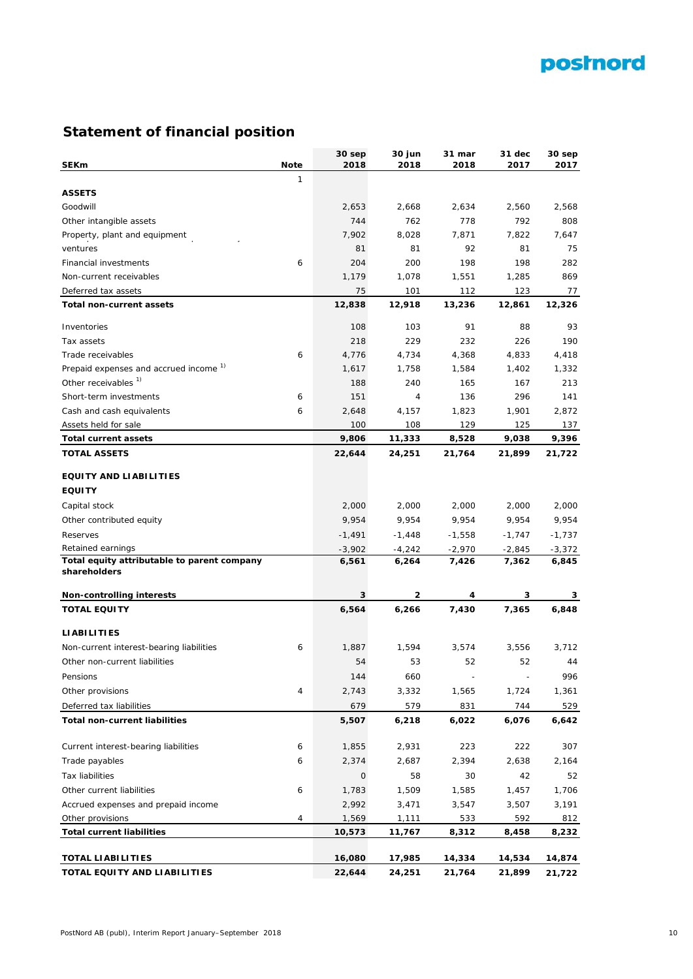

# **Statement of financial position**

| <b>SEKm</b>                                       | <b>Note</b>    | 30 sep<br>2018 | 30 jun<br>2018 | 31 mar<br>2018           | 31 dec<br>2017           | 30 sep<br>2017 |
|---------------------------------------------------|----------------|----------------|----------------|--------------------------|--------------------------|----------------|
|                                                   | $\mathbf{1}$   |                |                |                          |                          |                |
| <b>ASSETS</b>                                     |                |                |                |                          |                          |                |
| Goodwill                                          |                | 2,653          | 2,668          | 2,634                    | 2,560                    | 2,568          |
| Other intangible assets                           |                | 744            | 762            | 778                      | 792                      | 808            |
| Property, plant and equipment                     |                | 7,902          | 8,028          | 7,871                    | 7,822                    | 7,647          |
| ventures                                          |                | 81             | 81             | 92                       | 81                       | 75             |
| <b>Financial investments</b>                      | 6              | 204            | 200            | 198                      | 198                      | 282            |
| Non-current receivables                           |                | 1,179          | 1,078          | 1,551                    | 1,285                    | 869            |
| Deferred tax assets                               |                | 75             | 101            | 112                      | 123                      | 77             |
| Total non-current assets                          |                | 12,838         | 12,918         | 13,236                   | 12,861                   | 12,326         |
|                                                   |                |                |                |                          |                          |                |
| Inventories                                       |                | 108            | 103            | 91                       | 88                       | 93             |
| Tax assets                                        |                | 218            | 229            | 232                      | 226                      | 190            |
| Trade receivables                                 | 6              | 4,776          | 4,734          | 4,368                    | 4,833                    | 4,418          |
| Prepaid expenses and accrued income <sup>1)</sup> |                | 1,617          | 1,758          | 1,584                    | 1,402                    | 1,332          |
| Other receivables <sup>1)</sup>                   |                | 188            | 240            | 165                      | 167                      | 213            |
| Short-term investments                            | 6              | 151            | 4              | 136                      | 296                      | 141            |
| Cash and cash equivalents                         | 6              | 2,648          | 4,157          | 1,823                    | 1,901                    | 2,872          |
| Assets held for sale                              |                | 100            | 108            | 129                      | 125                      | 137            |
| <b>Total current assets</b>                       |                | 9,806          | 11,333         | 8,528                    | 9,038                    | 9,396          |
| <b>TOTAL ASSETS</b>                               |                | 22,644         | 24,251         | 21,764                   | 21,899                   | 21,722         |
| <b>EQUITY AND LIABILITIES</b>                     |                |                |                |                          |                          |                |
| <b>EQUITY</b>                                     |                |                |                |                          |                          |                |
| Capital stock                                     |                | 2,000          | 2,000          | 2,000                    | 2,000                    | 2,000          |
| Other contributed equity                          |                | 9,954          | 9,954          | 9,954                    | 9,954                    | 9,954          |
| Reserves                                          |                | $-1,491$       | $-1,448$       | $-1,558$                 | $-1,747$                 | $-1,737$       |
| Retained earnings                                 |                | $-3,902$       | -4,242         | $-2,970$                 | -2,845                   | -3,372         |
| Total equity attributable to parent company       |                | 6,561          | 6,264          | 7,426                    | 7,362                    | 6,845          |
| shareholders                                      |                |                |                |                          |                          |                |
| <b>Non-controlling interests</b>                  |                | 3              | 2              | 4                        | 3                        | 3              |
| <b>TOTAL EQUITY</b>                               |                | 6,564          | 6,266          | 7,430                    | 7,365                    | 6,848          |
|                                                   |                |                |                |                          |                          |                |
| <b>LIABILITIES</b>                                |                |                |                |                          |                          |                |
| Non-current interest-bearing liabilities          | 6              | 1,887          | 1,594          | 3,574                    | 3,556                    | 3,712          |
| Other non-current liabilities                     |                | 54             | 53             | 52                       | 52                       | 44             |
| Pensions                                          |                | 144            | 660            | $\overline{\phantom{a}}$ | $\overline{\phantom{a}}$ | 996            |
| Other provisions                                  | $\overline{4}$ | 2,743          | 3,332          | 1,565                    | 1,724                    | 1,361          |
| Deferred tax liabilities                          |                | 679            | 579            | 831                      | 744                      | 529            |
| <b>Total non-current liabilities</b>              |                | 5,507          | 6,218          | 6,022                    | 6,076                    | 6,642          |
| Current interest-bearing liabilities              | 6              | 1,855          | 2,931          | 223                      | 222                      | 307            |
| Trade payables                                    | 6              | 2,374          | 2,687          | 2,394                    | 2,638                    | 2,164          |
| Tax liabilities                                   |                | 0              | 58             | 30                       | 42                       | 52             |
| Other current liabilities                         | 6              | 1,783          | 1,509          | 1,585                    | 1,457                    | 1,706          |
| Accrued expenses and prepaid income               |                | 2,992          | 3,471          | 3,547                    | 3,507                    | 3,191          |
| Other provisions                                  | 4              | 1,569          | 1,111          | 533                      | 592                      | 812            |
| <b>Total current liabilities</b>                  |                | 10,573         | 11,767         | 8,312                    | 8,458                    | 8,232          |
|                                                   |                |                |                |                          |                          |                |
| <b>TOTAL LIABILITIES</b>                          |                | 16,080         | 17,985         | 14,334                   | 14,534                   | 14,874         |
| TOTAL EQUITY AND LIABILITIES                      |                | 22,644         | 24,251         | 21,764                   | 21,899                   | 21,722         |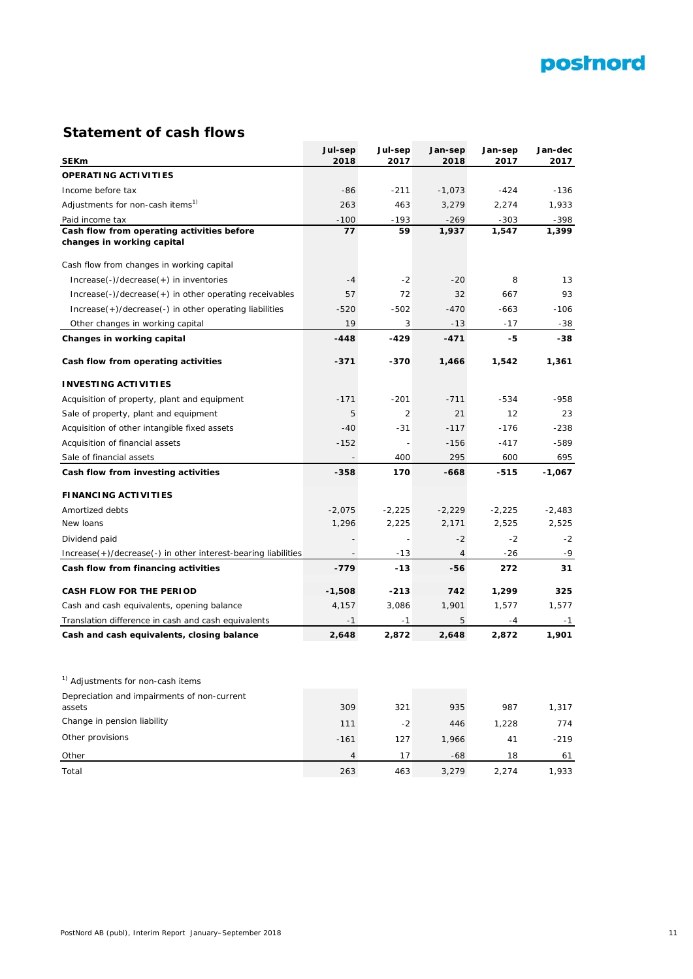

# **Statement of cash flows**

|                                                                          | Jul-sep  | Jul-sep  | Jan-sep        | Jan-sep  | Jan-dec  |
|--------------------------------------------------------------------------|----------|----------|----------------|----------|----------|
| <b>SEKm</b>                                                              | 2018     | 2017     | 2018           | 2017     | 2017     |
| <b>OPERATING ACTIVITIES</b>                                              |          |          |                |          |          |
| Income before tax                                                        | $-86$    | $-211$   | $-1,073$       | $-424$   | $-136$   |
| Adjustments for non-cash items <sup>1)</sup>                             | 263      | 463      | 3,279          | 2,274    | 1,933    |
| Paid income tax                                                          | $-100$   | $-193$   | $-269$         | $-303$   | -398     |
| Cash flow from operating activities before<br>changes in working capital | 77       | 59       | 1,937          | 1,547    | 1,399    |
|                                                                          |          |          |                |          |          |
| Cash flow from changes in working capital                                |          |          |                |          |          |
| $Increase(-)/decrease(+)$ in inventories                                 | $-4$     | $-2$     | $-20$          | 8        | 13       |
| $Increase(-)/decrease(+)$ in other operating receivables                 | 57       | 72       | 32             | 667      | 93       |
| Increase(+)/decrease(-) in other operating liabilities                   | $-520$   | $-502$   | $-470$         | $-663$   | $-106$   |
| Other changes in working capital                                         | 19       | 3        | $-13$          | $-17$    | -38      |
| Changes in working capital                                               | $-448$   | -429     | $-471$         | -5       | -38      |
|                                                                          |          |          |                |          |          |
| Cash flow from operating activities                                      | -371     | -370     | 1,466          | 1,542    | 1,361    |
| <b>INVESTING ACTIVITIES</b>                                              |          |          |                |          |          |
| Acquisition of property, plant and equipment                             | $-171$   | $-201$   | $-711$         | $-534$   | $-958$   |
| Sale of property, plant and equipment                                    | 5        | 2        | 21             | 12       | 23       |
| Acquisition of other intangible fixed assets                             | $-40$    | $-31$    | $-117$         | $-176$   | $-238$   |
| Acquisition of financial assets                                          | $-152$   |          | $-156$         | $-417$   | -589     |
| Sale of financial assets                                                 |          | 400      | 295            | 600      | 695      |
| Cash flow from investing activities                                      | -358     | 170      | $-668$         | $-515$   | $-1,067$ |
| <b>FINANCING ACTIVITIES</b>                                              |          |          |                |          |          |
| Amortized debts                                                          | $-2,075$ | $-2,225$ | $-2,229$       | $-2,225$ | $-2,483$ |
| New loans                                                                | 1,296    | 2,225    | 2,171          | 2,525    | 2,525    |
| Dividend paid                                                            |          |          | $-2$           | $-2$     | $-2$     |
| Increase(+)/decrease(-) in other interest-bearing liabilities            |          | $-13$    | $\overline{4}$ | $-26$    | -9       |
| Cash flow from financing activities                                      | $-779$   | $-13$    | -56            | 272      | 31       |
|                                                                          |          |          |                |          |          |
| CASH FLOW FOR THE PERIOD                                                 | $-1,508$ | $-213$   | 742            | 1,299    | 325      |
| Cash and cash equivalents, opening balance                               | 4,157    | 3,086    | 1,901          | 1,577    | 1,577    |
| Translation difference in cash and cash equivalents                      | $-1$     | $-1$     | 5              | -4       | $-1$     |
| Cash and cash equivalents, closing balance                               | 2,648    | 2,872    | 2,648          | 2,872    | 1,901    |
|                                                                          |          |          |                |          |          |
|                                                                          |          |          |                |          |          |
| <sup>1)</sup> Adjustments for non-cash items                             |          |          |                |          |          |
| Depreciation and impairments of non-current                              |          |          |                |          |          |
| assets                                                                   | 309      | 321      | 935            | 987      | 1,317    |
| Change in pension liability                                              | 111      | $-2$     | 446            | 1,228    | 774      |
| Other provisions                                                         | $-161$   | 127      | 1,966          | 41       | $-219$   |
| Other                                                                    | 4        | 17       | -68            | 18       | 61       |
| Total                                                                    | 263      | 463      | 3,279          | 2,274    | 1,933    |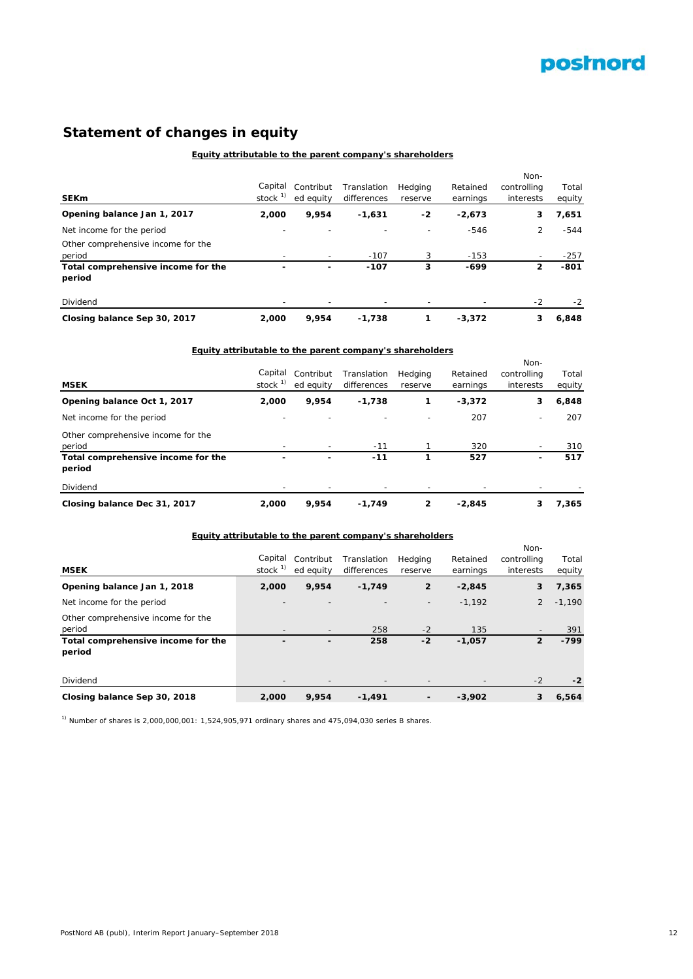

# **Statement of changes in equity**

## **Equity attributable to the parent company's shareholders**

| <b>SEKm</b>                                  | Capital<br>stock $^{1}$ | Contribut<br>ed eauity | Translation<br>differences | Hedging<br>reserve | Retained<br>earnings | Non-<br>controlling<br>interests | Total<br>equity |
|----------------------------------------------|-------------------------|------------------------|----------------------------|--------------------|----------------------|----------------------------------|-----------------|
|                                              |                         |                        |                            |                    |                      |                                  |                 |
| Opening balance Jan 1, 2017                  | 2,000                   | 9,954                  | $-1,631$                   | $-2$               | $-2,673$             | з                                | 7,651           |
| Net income for the period                    |                         |                        | $\overline{\phantom{0}}$   |                    | $-546$               | 2                                | $-544$          |
| Other comprehensive income for the<br>period |                         | -                      | $-107$                     | 3                  | $-153$               |                                  | $-257$          |
| Total comprehensive income for the<br>period |                         | ۰                      | $-107$                     | 3                  | -699                 | 2                                | $-801$          |
| Dividend                                     |                         |                        |                            |                    |                      | $-2$                             | $-2$            |
| Closing balance Sep 30, 2017                 | 2,000                   | 9.954                  | $-1,738$                   |                    | $-3.372$             | 3                                | 6,848           |

## **Equity attributable to the parent company's shareholders**

| <b>MSEK</b>                                  | Capital<br>stock $1$ | Contribut<br>ed equity   | Translation<br>differences | Hedging<br>reserve | Retained<br>earnings | Non-<br>controlling<br>interests | Total<br>equity |
|----------------------------------------------|----------------------|--------------------------|----------------------------|--------------------|----------------------|----------------------------------|-----------------|
| Opening balance Oct 1, 2017                  | 2,000                | 9,954                    | $-1,738$                   | 1                  | $-3,372$             | 3                                | 6,848           |
| Net income for the period                    |                      | $\overline{\phantom{0}}$ | $\overline{\phantom{0}}$   |                    | 207                  | $\overline{\phantom{a}}$         | 207             |
| Other comprehensive income for the<br>period |                      | $\overline{\phantom{a}}$ | $-11$                      |                    | 320                  |                                  | 310             |
| Total comprehensive income for the<br>period |                      |                          | $-11$                      |                    | 527                  | ٠                                | 517             |
| Dividend                                     |                      |                          |                            |                    |                      |                                  |                 |
| Closing balance Dec 31, 2017                 | 2,000                | 9,954                    | $-1,749$                   | 2                  | $-2,845$             | 3                                | 7,365           |

#### **Equity attributable to the parent company's shareholders**

| <b>MSEK</b>                                  | Capital<br>stock $1$ | Contribut<br>ed equity | Translation<br>differences | Hedging<br>reserve | Retained<br>earnings | Non-<br>controlling<br>interests | Total<br>equity |
|----------------------------------------------|----------------------|------------------------|----------------------------|--------------------|----------------------|----------------------------------|-----------------|
| Opening balance Jan 1, 2018                  | 2,000                | 9,954                  | $-1,749$                   | $\overline{2}$     | $-2,845$             | 3                                | 7,365           |
| Net income for the period                    |                      |                        |                            |                    | $-1.192$             | 2                                | $-1,190$        |
| Other comprehensive income for the<br>period |                      | $\qquad \qquad$        | 258                        | $-2$               | 135                  | $\overline{\phantom{0}}$         | 391             |
| Total comprehensive income for the<br>period |                      | ٠                      | 258                        | $-2$               | $-1,057$             | $\overline{2}$                   | $-799$          |
| Dividend                                     |                      |                        |                            |                    |                      | $-2$                             | $-2$            |
| Closing balance Sep 30, 2018                 | 2,000                | 9,954                  | $-1,491$                   | -                  | $-3,902$             | 3                                | 6,564           |

 $1)$  Number of shares is 2,000,000,001: 1,524,905,971 ordinary shares and 475,094,030 series B shares.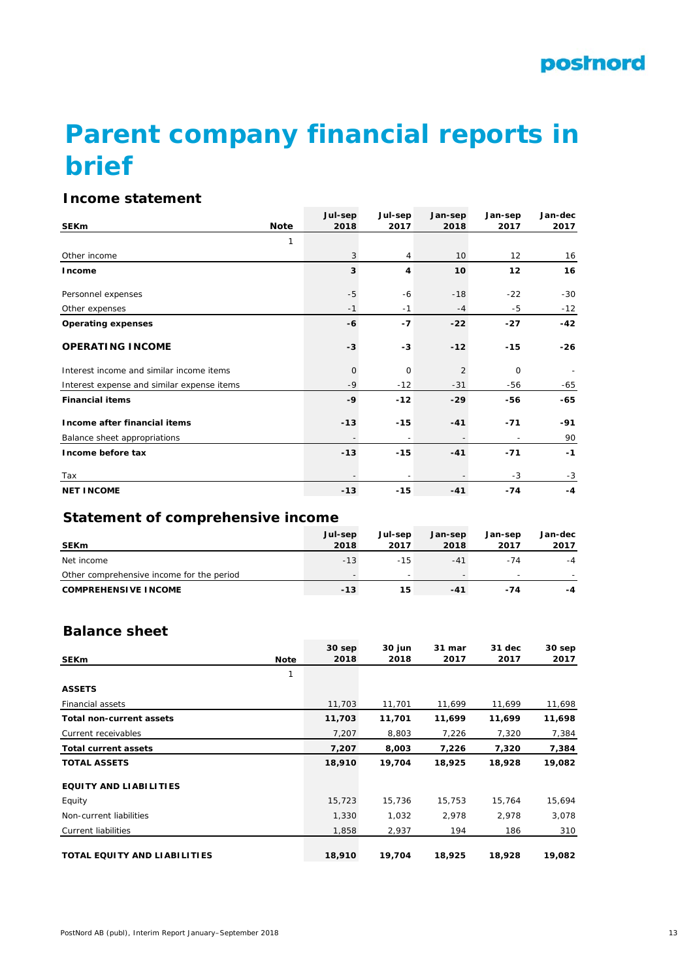# **Parent company financial reports in brief**

# **Income statement**

|                                            |             | Jul-sep      | Jul-sep | Jan-sep | Jan-sep           | Jan-dec |
|--------------------------------------------|-------------|--------------|---------|---------|-------------------|---------|
| <b>SEKm</b>                                | <b>Note</b> | 2018         | 2017    | 2018    | 2017              | 2017    |
|                                            | 1           |              |         |         |                   |         |
| Other income                               |             | 3            | 4       | 10      | $12 \overline{ }$ | 16      |
| Income                                     |             | 3            | 4       | 10      | 12                | 16      |
| Personnel expenses                         |             | $-5$         | $-6$    | $-18$   | $-22$             | $-30$   |
| Other expenses                             |             | $-1$         | $-1$    | $-4$    | $-5$              | $-12$   |
| <b>Operating expenses</b>                  |             | $-6$         | $-7$    | $-22$   | $-27$             | -42     |
| <b>OPERATING INCOME</b>                    |             | $-3$         | $-3$    | $-12$   | $-15$             | $-26$   |
| Interest income and similar income items   |             | $\mathbf{O}$ | 0       | 2       | $\mathbf 0$       |         |
| Interest expense and similar expense items |             | -9           | $-12$   | $-31$   | -56               | -65     |
| <b>Financial items</b>                     |             | $-9$         | $-12$   | $-29$   | -56               | $-65$   |
| Income after financial items               |             | $-13$        | $-15$   | $-41$   | $-71$             | -91     |
| Balance sheet appropriations               |             |              |         |         |                   | 90      |
| Income before tax                          |             | $-13$        | $-15$   | $-41$   | $-71$             | $-1$    |
| Tax                                        |             |              |         |         | $-3$              | $-3$    |
| <b>NET INCOME</b>                          |             | $-13$        | $-15$   | $-41$   | $-74$             | $-4$    |

# **Statement of comprehensive income**

| <b>SEKm</b>                               | Jul-sep<br>2018 | Jul-sep<br>2017          | Jan-sep<br>2018 | Jan-sep<br>2017 | Jan-dec<br>2017 |
|-------------------------------------------|-----------------|--------------------------|-----------------|-----------------|-----------------|
| Net income                                | $-13$           | $-15$                    | $-41$           | $-74$           | $-4$            |
| Other comprehensive income for the period |                 | $\overline{\phantom{0}}$ |                 |                 |                 |
| <b>COMPREHENSIVE INCOME</b>               | $-13$           | 15                       | -41             | -74             | -4              |

# **Balance sheet**

| <b>SEKm</b>                     | <b>Note</b> | 30 sep<br>2018 | 30 jun<br>2018 | 31 mar<br>2017 | 31 dec<br>2017 | 30 sep<br>2017 |
|---------------------------------|-------------|----------------|----------------|----------------|----------------|----------------|
|                                 | 1           |                |                |                |                |                |
| <b>ASSETS</b>                   |             |                |                |                |                |                |
| <b>Financial assets</b>         |             | 11,703         | 11,701         | 11,699         | 11,699         | 11,698         |
| <b>Total non-current assets</b> |             | 11,703         | 11,701         | 11,699         | 11,699         | 11,698         |
| Current receivables             |             | 7,207          | 8,803          | 7,226          | 7,320          | 7,384          |
| <b>Total current assets</b>     |             | 7,207          | 8,003          | 7,226          | 7,320          | 7,384          |
| <b>TOTAL ASSETS</b>             |             | 18,910         | 19,704         | 18,925         | 18,928         | 19,082         |
| <b>EQUITY AND LIABILITIES</b>   |             |                |                |                |                |                |
| Equity                          |             | 15,723         | 15,736         | 15,753         | 15,764         | 15,694         |
| Non-current liabilities         |             | 1,330          | 1,032          | 2,978          | 2,978          | 3,078          |
| Current liabilities             |             | 1,858          | 2,937          | 194            | 186            | 310            |
| TOTAL EQUITY AND LIABILITIES    |             | 18,910         | 19,704         | 18,925         | 18,928         | 19,082         |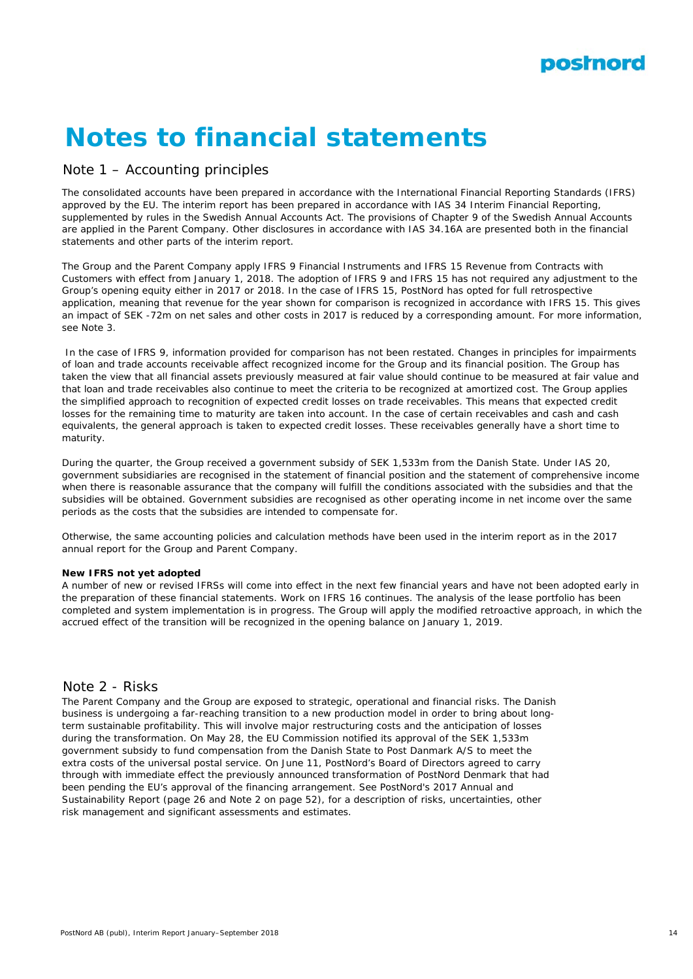

# **Notes to financial statements**

# Note 1 – Accounting principles

The consolidated accounts have been prepared in accordance with the International Financial Reporting Standards (IFRS) approved by the EU. The interim report has been prepared in accordance with IAS 34 Interim Financial Reporting, supplemented by rules in the Swedish Annual Accounts Act. The provisions of Chapter 9 of the Swedish Annual Accounts are applied in the Parent Company. Other disclosures in accordance with IAS 34.16A are presented both in the financial statements and other parts of the interim report.

The Group and the Parent Company apply IFRS 9 Financial Instruments and IFRS 15 Revenue from Contracts with Customers with effect from January 1, 2018. The adoption of IFRS 9 and IFRS 15 has not required any adjustment to the Group's opening equity either in 2017 or 2018. In the case of IFRS 15, PostNord has opted for full retrospective application, meaning that revenue for the year shown for comparison is recognized in accordance with IFRS 15. This gives an impact of SEK -72m on net sales and other costs in 2017 is reduced by a corresponding amount. For more information, see Note 3.

 In the case of IFRS 9, information provided for comparison has not been restated. Changes in principles for impairments of loan and trade accounts receivable affect recognized income for the Group and its financial position. The Group has taken the view that all financial assets previously measured at fair value should continue to be measured at fair value and that loan and trade receivables also continue to meet the criteria to be recognized at amortized cost. The Group applies the simplified approach to recognition of expected credit losses on trade receivables. This means that expected credit losses for the remaining time to maturity are taken into account. In the case of certain receivables and cash and cash equivalents, the general approach is taken to expected credit losses. These receivables generally have a short time to maturity.

During the quarter, the Group received a government subsidy of SEK 1,533m from the Danish State. Under IAS 20, government subsidiaries are recognised in the statement of financial position and the statement of comprehensive income when there is reasonable assurance that the company will fulfill the conditions associated with the subsidies and that the subsidies will be obtained. Government subsidies are recognised as other operating income in net income over the same periods as the costs that the subsidies are intended to compensate for.

Otherwise, the same accounting policies and calculation methods have been used in the interim report as in the 2017 annual report for the Group and Parent Company.

#### **New IFRS not yet adopted**

A number of new or revised IFRSs will come into effect in the next few financial years and have not been adopted early in the preparation of these financial statements. Work on IFRS 16 continues. The analysis of the lease portfolio has been completed and system implementation is in progress. The Group will apply the modified retroactive approach, in which the accrued effect of the transition will be recognized in the opening balance on January 1, 2019.

## Note 2 - Risks

The Parent Company and the Group are exposed to strategic, operational and financial risks. The Danish business is undergoing a far-reaching transition to a new production model in order to bring about longterm sustainable profitability. This will involve major restructuring costs and the anticipation of losses during the transformation. On May 28, the EU Commission notified its approval of the SEK 1,533m government subsidy to fund compensation from the Danish State to Post Danmark A/S to meet the extra costs of the universal postal service. On June 11, PostNord's Board of Directors agreed to carry through with immediate effect the previously announced transformation of PostNord Denmark that had been pending the EU's approval of the financing arrangement. See PostNord's 2017 Annual and Sustainability Report (page 26 and Note 2 on page 52), for a description of risks, uncertainties, other risk management and significant assessments and estimates.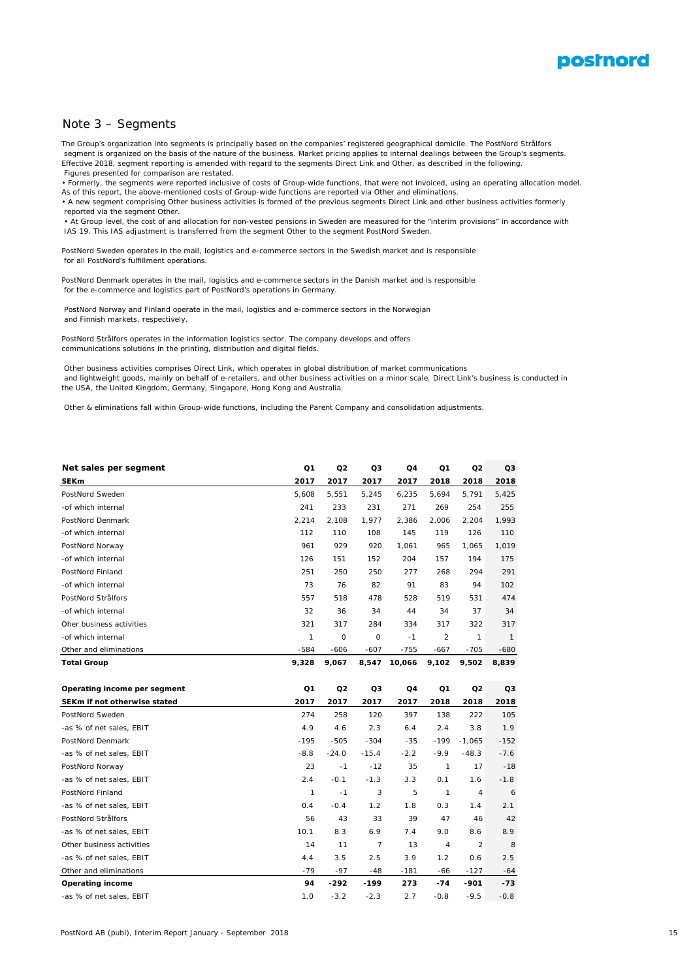

#### Note 3 – Segments

The Group's organization into segments is principally based on the companies' registered geographical domicile. The PostNord Strålfors segment is organized on the basis of the nature of the business. Market pricing applies to internal dealings between the Group's segments. Effective 2018, segment reporting is amended with regard to the segments Direct Link and Other, as described in the following. Figures presented for comparison are restated.

• Formerly, the segments were reported inclusive of costs of Group-wide functions, that were not invoiced, using an operating allocation model. As of this report, the above-mentioned costs of Group-wide functions are reported via Other and eliminations.

• A new segment comprising Other business activities is formed of the previous segments Direct Link and other business activities formerly reported via the segment Other.

 • At Group level, the cost of and allocation for non-vested pensions in Sweden are measured for the "interim provisions" in accordance with IAS 19. This IAS adjustment is transferred from the segment Other to the segment PostNord Sweden.

PostNord Sweden operates in the mail, logistics and e-commerce sectors in the Swedish market and is responsible for all PostNord's fulfillment operations.

PostNord Denmark operates in the mail, logistics and e-commerce sectors in the Danish market and is responsible for the e-commerce and logistics part of PostNord's operations in Germany.

 PostNord Norway and Finland operate in the mail, logistics and e-commerce sectors in the Norwegian and Finnish markets, respectively.

PostNord Strålfors operates in the information logistics sector. The company develops and offers communications solutions in the printing, distribution and digital fields.

 Other business activities comprises Direct Link, which operates in global distribution of market communications and lightweight goods, mainly on behalf of e-retailers, and other business activities on a minor scale. Direct Link's business is conducted in the USA, the United Kingdom, Germany, Singapore, Hong Kong and Australia.

Other & eliminations fall within Group-wide functions, including the Parent Company and consolidation adjustments.

| Net sales per segment        | Q1            | Q2             | Q3             | Q4     | Q <sub>1</sub> | Q <sub>2</sub> | Q3            |
|------------------------------|---------------|----------------|----------------|--------|----------------|----------------|---------------|
| <b>SEKm</b>                  | 2017          | 2017           | 2017           | 2017   | 2018           | 2018           | 2018          |
| PostNord Sweden              | 5,608         | 5,551          | 5,245          | 6,235  | 5,694          | 5,791          | 5,425         |
| -of which internal           | 241           | 233            | 231            | 271    | 269            | 254            | 255           |
| PostNord Denmark             | 2,214         | 2,108          | 1,977          | 2,386  | 2,006          | 2,204          | 1,993         |
| -of which internal           | 112           | 110            | 108            | 145    | 119            | 126            | 110           |
| PostNord Norway              | 961           | 929            | 920            | 1,061  | 965            | 1,065          | 1,019         |
| -of which internal           | 126           | 151            | 152            | 204    | 157            | 194            | 175           |
| PostNord Finland             | 251           | 250            | 250            | 277    | 268            | 294            | 291           |
| -of which internal           | 73            | 76             | 82             | 91     | 83             | 94             | 102           |
| PostNord Strålfors           | 557           | 518            | 478            | 528    | 519            | 531            | 474           |
| -of which internal           | 32            | 36             | 34             | 44     | 34             | 37             | 34            |
| Oher business activities     | 321           | 317            | 284            | 334    | 317            | 322            | 317           |
| -of which internal           | $\mathcal{I}$ | 0              | 0              | $-1$   | $\overline{2}$ | $\mathcal I$   | $\mathcal{I}$ |
| Other and eliminations       | $-584$        | $-606$         | $-607$         | $-755$ | -667           | $-705$         | $-680$        |
| <b>Total Group</b>           | 9,328         | 9,067          | 8,547          | 10,066 | 9,102          | 9,502          | 8,839         |
|                              |               |                |                |        |                |                |               |
|                              |               |                |                |        |                |                |               |
| Operating income per segment | Q1            | Q <sub>2</sub> | Q3             | Q4     | Q1             | Q2             | Q3            |
| SEKm if not otherwise stated | 2017          | 2017           | 2017           | 2017   | 2018           | 2018           | 2018          |
| PostNord Sweden              | 274           | 258            | 120            | 397    | 138            | 222            | 105           |
| -as % of net sales, EBIT     | 4.9           | 4.6            | 2.3            | 6.4    | 2.4            | 3.8            | 1.9           |
| PostNord Denmark             | $-195$        | $-505$         | $-304$         | $-35$  | -199           | $-1,065$       | $-152$        |
| -as % of net sales, EBIT     | $-8.8$        | $-24.0$        | $-15.4$        | $-2.2$ | $-9.9$         | $-48.3$        | $-7.6$        |
| PostNord Norway              | 23            | $-1$           | $-12$          | 35     | 1              | 17             | $-18$         |
| -as % of net sales, EBIT     | 2.4           | $-0.1$         | $-1.3$         | 3.3    | 0.1            | 1.6            | $-1.8$        |
| PostNord Finland             | 1             | $-1$           | 3              | 5      | 1              | 4              | 6             |
| -as % of net sales, EBIT     | 0.4           | $-0.4$         | 1.2            | 1.8    | 0.3            | 1.4            | 2.1           |
| PostNord Strålfors           | 56            | 43             | 33             | 39     | 47             | 46             | 42            |
| -as % of net sales, EBIT     | 10.1          | 8.3            | 6.9            | 7.4    | 9.0            | 8.6            | 8.9           |
| Other business activities    | 14            | 11             | $\overline{7}$ | 13     | $\sqrt{4}$     | 2              | 8             |
| -as % of net sales, EBIT     | 4.4           | 3.5            | 2.5            | 3.9    | 1.2            | 0.6            | 2.5           |
| Other and eliminations       | $-79$         | $-97$          | $-48$          | -181   | -66            | $-127$         | $-64$         |
| <b>Operating income</b>      | 94            | -292           | $-199$         | 273    | $-74$          | $-901$         | $-73$         |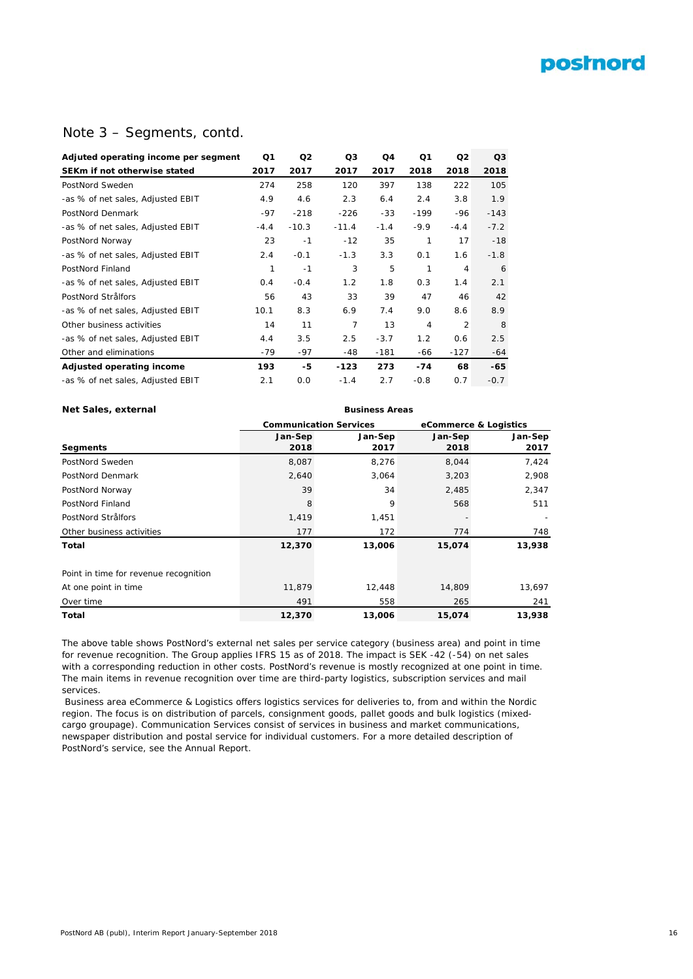# **postnord**

## Note 3 – Segments, contd.

| Adjuted operating income per segment | Q1     | Q <sub>2</sub> | Q3      | Q <sub>4</sub> | Q <sub>1</sub> | Q <sub>2</sub> | Q3     |
|--------------------------------------|--------|----------------|---------|----------------|----------------|----------------|--------|
| SEKm if not otherwise stated         | 2017   | 2017           | 2017    | 2017           | 2018           | 2018           | 2018   |
| PostNord Sweden                      | 274    | 258            | 120     | 397            | 138            | 222            | 105    |
| -as % of net sales, Adjusted EBIT    | 4.9    | 4.6            | 2.3     | 6.4            | 2.4            | 3.8            | 1.9    |
| PostNord Denmark                     | $-97$  | $-218$         | $-226$  | $-33$          | $-199$         | $-96$          | $-143$ |
| -as % of net sales, Adjusted EBIT    | $-4.4$ | $-10.3$        | $-11.4$ | $-1.4$         | $-9.9$         | $-4.4$         | $-7.2$ |
| PostNord Norway                      | 23     | $-1$           | $-12$   | 35             | 1              | 17             | $-18$  |
| -as % of net sales, Adjusted EBIT    | 2.4    | $-0.1$         | $-1.3$  | 3.3            | 0.1            | 1.6            | $-1.8$ |
| PostNord Finland                     | 1      | $-1$           | 3       | 5              | 1              | $\overline{4}$ | 6      |
| -as % of net sales, Adjusted EBIT    | 0.4    | $-0.4$         | 1.2     | 1.8            | 0.3            | 1.4            | 2.1    |
| PostNord Strålfors                   | 56     | 43             | 33      | 39             | 47             | 46             | 42     |
| -as % of net sales, Adjusted EBIT    | 10.1   | 8.3            | 6.9     | 7.4            | 9.0            | 8.6            | 8.9    |
| Other business activities            | 14     | 11             | 7       | 13             | $\overline{4}$ | $\overline{2}$ | 8      |
| -as % of net sales, Adjusted EBIT    | 4.4    | 3.5            | 2.5     | $-3.7$         | 1.2            | 0.6            | 2.5    |
| Other and eliminations               | -79    | $-97$          | $-48$   | $-181$         | -66            | $-127$         | -64    |
| Adjusted operating income            | 193    | -5             | $-123$  | 273            | $-74$          | 68             | -65    |
| -as % of net sales, Adjusted EBIT    | 2.1    | 0.0            | $-1.4$  | 2.7            | $-0.8$         | 0.7            | $-0.7$ |

#### **Net Sales, external Business Areas**

**Segments** PostNord Sweden PostNord Denmark PostNord Norway PostNord Finland PostNord Strålfors Other business activities **Total 13,938** Point in time for revenue recognition At one point in time Over time **Total 12,370 13,006 13,938** 12,448 491 558 14,809 265 **15,074 12,370** 11,879 **13,006** 13,697 241 511 - 748 568 - 774 **15,074** 2,908 2,347 8,044 3,203 2,485 **Communication Services eCommerce & Logistics Jan-Sep 2017** 7,424 **Jan-Sep 2017** 8,276 **Jan-Sep 2018** 8,087 **Jan-Sep 2018** 3,064 34 9 1,451 177 2,640 39 8 1,419 172

The above table shows PostNord's external net sales per service category (business area) and point in time for revenue recognition. The Group applies IFRS 15 as of 2018. The impact is SEK -42 (-54) on net sales with a corresponding reduction in other costs. PostNord's revenue is mostly recognized at one point in time. The main items in revenue recognition over time are third-party logistics, subscription services and mail services.

 Business area eCommerce & Logistics offers logistics services for deliveries to, from and within the Nordic region. The focus is on distribution of parcels, consignment goods, pallet goods and bulk logistics (mixedcargo groupage). Communication Services consist of services in business and market communications, newspaper distribution and postal service for individual customers. For a more detailed description of PostNord's service, see the Annual Report.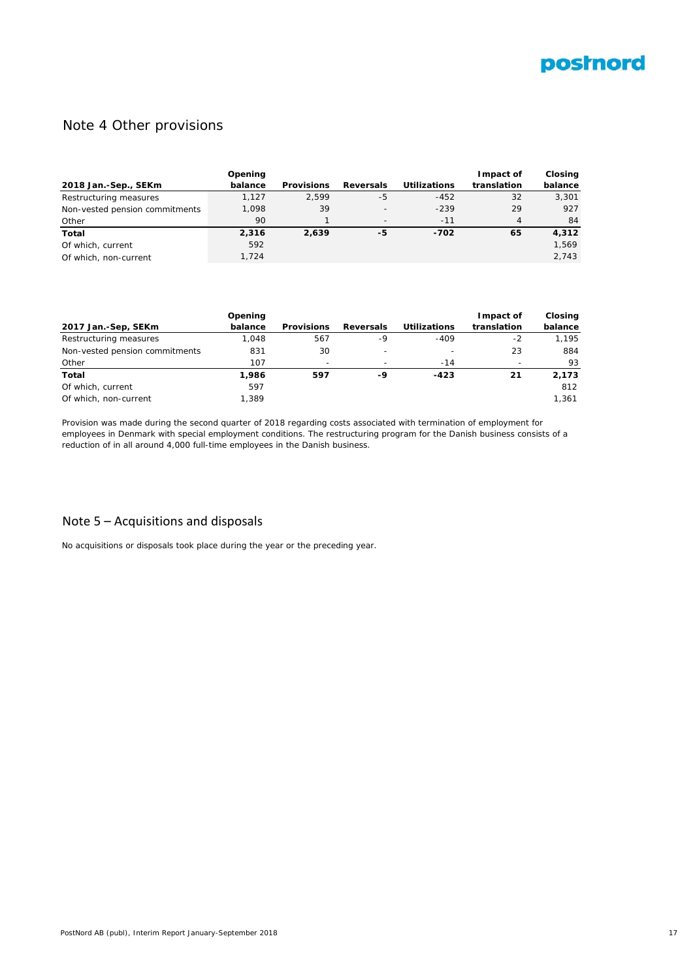

# Note 4 Other provisions

|                                | Opening |                   |                          |                     | Impact of   | Closing |
|--------------------------------|---------|-------------------|--------------------------|---------------------|-------------|---------|
| 2018 Jan.-Sep., SEKm           | balance | <b>Provisions</b> | Reversals                | <b>Utilizations</b> | translation | balance |
| Restructuring measures         | 1.127   | 2.599             | -5                       | $-452$              | 32          | 3,301   |
| Non-vested pension commitments | 1.098   | 39                | $\overline{\phantom{a}}$ | $-239$              | 29          | 927     |
| Other                          | 90      |                   | $\overline{\phantom{0}}$ | $-11$               | 4           | 84      |
| Total                          | 2.316   | 2.639             | -5                       | $-702$              | 65          | 4,312   |
| Of which, current              | 592     |                   |                          |                     |             | 1.569   |
| Of which, non-current          | 1.724   |                   |                          |                     |             | 2.743   |

|                                | Opening |                          |                  |                          | Impact of   | <b>Closing</b> |
|--------------------------------|---------|--------------------------|------------------|--------------------------|-------------|----------------|
| 2017 Jan.-Sep, SEKm            | balance | <b>Provisions</b>        | <b>Reversals</b> | <b>Utilizations</b>      | translation | balance        |
| Restructuring measures         | 1.048   | 567                      | -9               | $-409$                   | $-2$        | 1.195          |
| Non-vested pension commitments | 831     | 30                       | -                | $\overline{\phantom{0}}$ | 23          | 884            |
| Other                          | 107     | $\overline{\phantom{0}}$ |                  | $-14$                    |             | 93             |
| Total                          | 1,986   | 597                      | -9               | $-423$                   | 21          | 2,173          |
| Of which, current              | 597     |                          |                  |                          |             | 812            |
| Of which, non-current          | 1.389   |                          |                  |                          |             | 1.361          |

Provision was made during the second quarter of 2018 regarding costs associated with termination of employment for employees in Denmark with special employment conditions. The restructuring program for the Danish business consists of a reduction of in all around 4,000 full-time employees in the Danish business.

# Note 5 – Acquisitions and disposals

No acquisitions or disposals took place during the year or the preceding year.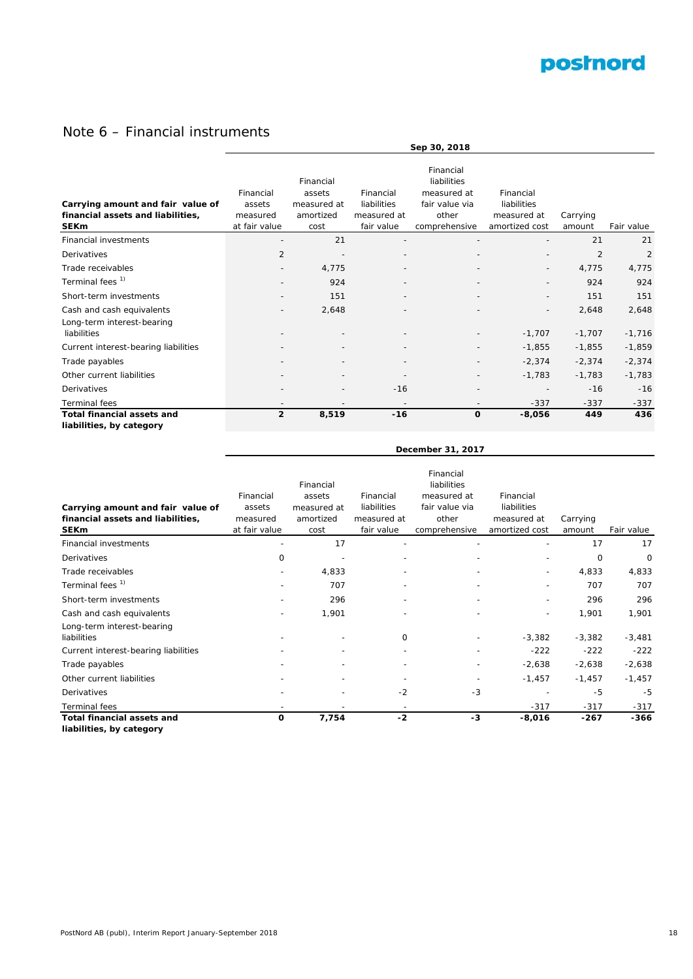

# Note 6 – Financial instruments

|                                                                                       |                                                  | Sep 30, 2018                                            |                                                       |                                                                                     |                                                           |                    |                |  |  |
|---------------------------------------------------------------------------------------|--------------------------------------------------|---------------------------------------------------------|-------------------------------------------------------|-------------------------------------------------------------------------------------|-----------------------------------------------------------|--------------------|----------------|--|--|
| Carrying amount and fair value of<br>financial assets and liabilities,<br><b>SEKm</b> | Financial<br>assets<br>measured<br>at fair value | Financial<br>assets<br>measured at<br>amortized<br>cost | Financial<br>liabilities<br>measured at<br>fair value | Financial<br>liabilities<br>measured at<br>fair value via<br>other<br>comprehensive | Financial<br>liabilities<br>measured at<br>amortized cost | Carrying<br>amount | Fair value     |  |  |
| <b>Financial investments</b>                                                          |                                                  | 21                                                      |                                                       |                                                                                     |                                                           | 21                 | 21             |  |  |
| Derivatives                                                                           | $\overline{2}$                                   |                                                         |                                                       |                                                                                     |                                                           | $\overline{2}$     | $\overline{2}$ |  |  |
| Trade receivables                                                                     |                                                  | 4,775                                                   |                                                       |                                                                                     | $\overline{\phantom{a}}$                                  | 4,775              | 4,775          |  |  |
| Terminal fees <sup>1)</sup>                                                           |                                                  | 924                                                     |                                                       |                                                                                     |                                                           | 924                | 924            |  |  |
| Short-term investments                                                                |                                                  | 151                                                     | $\overline{\phantom{a}}$                              |                                                                                     | $\overline{\phantom{a}}$                                  | 151                | 151            |  |  |
| Cash and cash equivalents<br>Long-term interest-bearing                               |                                                  | 2,648                                                   |                                                       |                                                                                     |                                                           | 2,648              | 2,648          |  |  |
| liabilities                                                                           |                                                  |                                                         |                                                       |                                                                                     | $-1,707$                                                  | $-1,707$           | $-1,716$       |  |  |
| Current interest-bearing liabilities                                                  |                                                  |                                                         |                                                       |                                                                                     | $-1,855$                                                  | $-1,855$           | $-1,859$       |  |  |
| Trade payables                                                                        |                                                  |                                                         |                                                       |                                                                                     | $-2,374$                                                  | $-2,374$           | $-2,374$       |  |  |
| Other current liabilities                                                             |                                                  |                                                         |                                                       |                                                                                     | $-1,783$                                                  | $-1,783$           | $-1,783$       |  |  |
| Derivatives                                                                           |                                                  |                                                         | $-16$                                                 | $\overline{\phantom{a}}$                                                            |                                                           | $-16$              | $-16$          |  |  |
| <b>Terminal fees</b>                                                                  |                                                  |                                                         |                                                       |                                                                                     | $-337$                                                    | $-337$             | $-337$         |  |  |
| <b>Total financial assets and</b><br>liabilities, by category                         | $\overline{2}$                                   | 8,519                                                   | $-16$                                                 | $\mathbf 0$                                                                         | $-8,056$                                                  | 449                | 436            |  |  |

|                                                                                       |                                                  |                                                         |                                                       | December 31, 2017                                                                   |                                                           |                    |            |  |  |  |  |  |
|---------------------------------------------------------------------------------------|--------------------------------------------------|---------------------------------------------------------|-------------------------------------------------------|-------------------------------------------------------------------------------------|-----------------------------------------------------------|--------------------|------------|--|--|--|--|--|
| Carrying amount and fair value of<br>financial assets and liabilities,<br><b>SEKm</b> | Financial<br>assets<br>measured<br>at fair value | Financial<br>assets<br>measured at<br>amortized<br>cost | Financial<br>liabilities<br>measured at<br>fair value | Financial<br>liabilities<br>measured at<br>fair value via<br>other<br>comprehensive | Financial<br>liabilities<br>measured at<br>amortized cost | Carrying<br>amount | Fair value |  |  |  |  |  |
| <b>Financial investments</b>                                                          |                                                  | 17                                                      |                                                       |                                                                                     |                                                           | 17                 | 17         |  |  |  |  |  |
| Derivatives                                                                           | 0                                                |                                                         |                                                       |                                                                                     |                                                           | 0                  | 0          |  |  |  |  |  |
| Trade receivables                                                                     |                                                  | 4,833                                                   |                                                       |                                                                                     | $\overline{\phantom{a}}$                                  | 4,833              | 4,833      |  |  |  |  |  |
| Terminal fees <sup>1)</sup>                                                           |                                                  | 707                                                     |                                                       |                                                                                     | $\overline{\phantom{a}}$                                  | 707                | 707        |  |  |  |  |  |
| Short-term investments                                                                |                                                  | 296                                                     |                                                       |                                                                                     | $\overline{\phantom{a}}$                                  | 296                | 296        |  |  |  |  |  |
| Cash and cash equivalents                                                             |                                                  | 1,901                                                   |                                                       |                                                                                     | $\overline{a}$                                            | 1,901              | 1,901      |  |  |  |  |  |
| Long-term interest-bearing<br>liabilities                                             |                                                  |                                                         | 0                                                     |                                                                                     | $-3,382$                                                  | $-3,382$           | $-3,481$   |  |  |  |  |  |
| Current interest-bearing liabilities                                                  |                                                  |                                                         | $\overline{\phantom{a}}$                              |                                                                                     | $-222$                                                    | $-222$             | $-222$     |  |  |  |  |  |
| Trade payables                                                                        |                                                  |                                                         |                                                       |                                                                                     | $-2,638$                                                  | $-2,638$           | $-2,638$   |  |  |  |  |  |
| Other current liabilities                                                             |                                                  |                                                         |                                                       |                                                                                     | $-1,457$                                                  | $-1,457$           | $-1,457$   |  |  |  |  |  |
| Derivatives                                                                           |                                                  |                                                         | $-2$                                                  | $-3$                                                                                |                                                           | $-5$               | -5         |  |  |  |  |  |
| <b>Terminal</b> fees                                                                  |                                                  |                                                         |                                                       |                                                                                     | $-317$                                                    | $-317$             | $-317$     |  |  |  |  |  |
| <b>Total financial assets and</b>                                                     | 0                                                | 7,754                                                   | $-2$                                                  | -3                                                                                  | $-8,016$                                                  | $-267$             | $-366$     |  |  |  |  |  |

**liabilities, by category**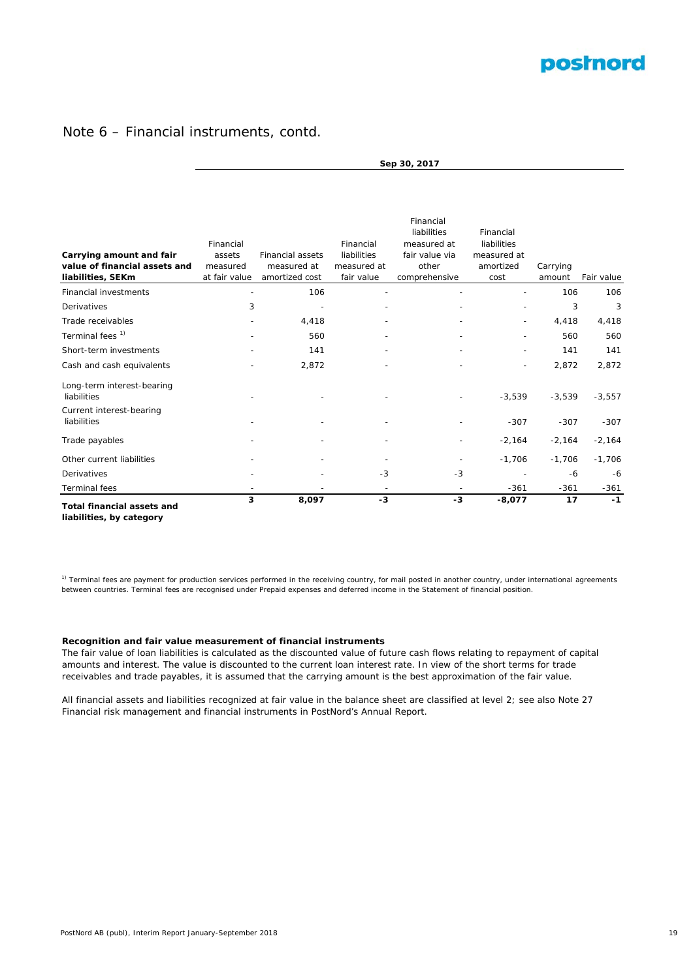

# Note 6 – Financial instruments, contd.

| <b>Total financial assets and</b>         | 3                   | 8,097                   | $-3$                     | $-3$                          | $-8,077$                   | 17       | $-1$       |
|-------------------------------------------|---------------------|-------------------------|--------------------------|-------------------------------|----------------------------|----------|------------|
| Terminal fees                             |                     |                         |                          |                               | $-361$                     | $-361$   | $-361$     |
| Derivatives                               |                     |                         | $-3$                     | $-3$                          |                            | $-6$     | $-6$       |
| Other current liabilities                 |                     |                         |                          |                               | $-1,706$                   | $-1,706$ | $-1,706$   |
| Trade payables                            |                     |                         |                          |                               | $-2,164$                   | $-2,164$ | $-2,164$   |
| Current interest-bearing<br>liabilities   |                     |                         |                          |                               | $-307$                     | $-307$   | $-307$     |
| Long-term interest-bearing<br>liabilities |                     |                         |                          |                               | $-3,539$                   | $-3,539$ | $-3,557$   |
| Cash and cash equivalents                 |                     | 2,872                   |                          |                               |                            | 2,872    | 2,872      |
| Short-term investments                    |                     | 141                     |                          |                               |                            | 141      | 141        |
| Terminal fees <sup>1)</sup>               |                     | 560                     |                          |                               |                            | 560      | 560        |
| Trade receivables                         |                     | 4,418                   |                          |                               |                            | 4,418    | 4,418      |
| Derivatives                               | 3                   |                         |                          |                               |                            | 3        | 3          |
| <b>Financial investments</b>              |                     | 106                     |                          |                               |                            | 106      | 106        |
| liabilities, SEKm                         | at fair value       | amortized cost          | fair value               | comprehensive                 | cost                       | amount   | Fair value |
| value of financial assets and             | measured            | measured at             | measured at              | other                         | amortized                  | Carrying |            |
| Carrying amount and fair                  | Financial<br>assets | <b>Financial assets</b> | Financial<br>liabilities | measured at<br>fair value via | liabilities<br>measured at |          |            |
|                                           |                     |                         |                          | Financial<br>liabilities      | Financial                  |          |            |
|                                           |                     |                         |                          |                               |                            |          |            |

**Sep 30, 2017**

**liabilities, by category**

<sup>1)</sup> Terminal fees are payment for production services performed in the receiving country, for mail posted in another country, under international agreements between countries. Terminal fees are recognised under Prepaid expenses and deferred income in the Statement of financial position.

#### **Recognition and fair value measurement of financial instruments**

The fair value of loan liabilities is calculated as the discounted value of future cash flows relating to repayment of capital amounts and interest. The value is discounted to the current loan interest rate. In view of the short terms for trade receivables and trade payables, it is assumed that the carrying amount is the best approximation of the fair value.

All financial assets and liabilities recognized at fair value in the balance sheet are classified at level 2; see also Note 27 Financial risk management and financial instruments in PostNord's Annual Report.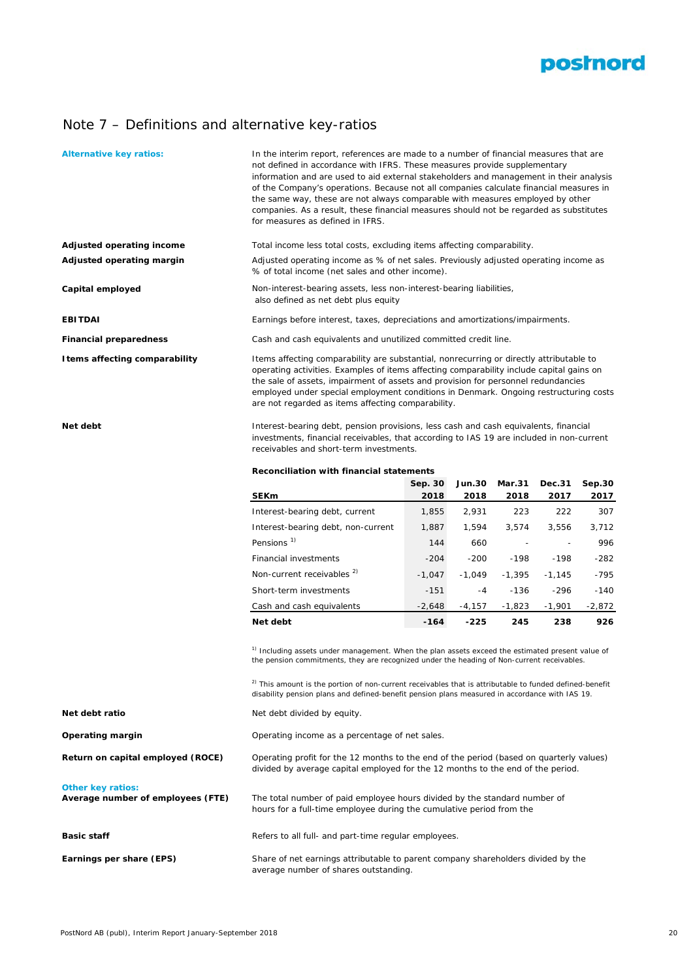

# Note 7 – Definitions and alternative key-ratios

| <b>Alternative key ratios:</b>                                | In the interim report, references are made to a number of financial measures that are<br>not defined in accordance with IFRS. These measures provide supplementary<br>information and are used to aid external stakeholders and management in their analysis<br>of the Company's operations. Because not all companies calculate financial measures in<br>the same way, these are not always comparable with measures employed by other<br>companies. As a result, these financial measures should not be regarded as substitutes<br>for measures as defined in IFRS. |                 |                       |                          |                |                |  |  |  |  |
|---------------------------------------------------------------|-----------------------------------------------------------------------------------------------------------------------------------------------------------------------------------------------------------------------------------------------------------------------------------------------------------------------------------------------------------------------------------------------------------------------------------------------------------------------------------------------------------------------------------------------------------------------|-----------------|-----------------------|--------------------------|----------------|----------------|--|--|--|--|
| Adjusted operating income                                     | Total income less total costs, excluding items affecting comparability.                                                                                                                                                                                                                                                                                                                                                                                                                                                                                               |                 |                       |                          |                |                |  |  |  |  |
| Adjusted operating margin                                     | Adjusted operating income as % of net sales. Previously adjusted operating income as<br>% of total income (net sales and other income).                                                                                                                                                                                                                                                                                                                                                                                                                               |                 |                       |                          |                |                |  |  |  |  |
| Capital employed                                              | Non-interest-bearing assets, less non-interest-bearing liabilities,<br>also defined as net debt plus equity                                                                                                                                                                                                                                                                                                                                                                                                                                                           |                 |                       |                          |                |                |  |  |  |  |
| EBITDAI                                                       | Earnings before interest, taxes, depreciations and amortizations/impairments.                                                                                                                                                                                                                                                                                                                                                                                                                                                                                         |                 |                       |                          |                |                |  |  |  |  |
| <b>Financial preparedness</b>                                 | Cash and cash equivalents and unutilized committed credit line.                                                                                                                                                                                                                                                                                                                                                                                                                                                                                                       |                 |                       |                          |                |                |  |  |  |  |
| I tems affecting comparability                                | Items affecting comparability are substantial, nonrecurring or directly attributable to<br>operating activities. Examples of items affecting comparability include capital gains on<br>the sale of assets, impairment of assets and provision for personnel redundancies<br>employed under special employment conditions in Denmark. Ongoing restructuring costs<br>are not regarded as items affecting comparability.                                                                                                                                                |                 |                       |                          |                |                |  |  |  |  |
| Net debt                                                      | Interest-bearing debt, pension provisions, less cash and cash equivalents, financial<br>investments, financial receivables, that according to IAS 19 are included in non-current<br>receivables and short-term investments.                                                                                                                                                                                                                                                                                                                                           |                 |                       |                          |                |                |  |  |  |  |
|                                                               | Reconciliation with financial statements                                                                                                                                                                                                                                                                                                                                                                                                                                                                                                                              |                 |                       |                          |                |                |  |  |  |  |
|                                                               | <b>SEKm</b>                                                                                                                                                                                                                                                                                                                                                                                                                                                                                                                                                           | Sep. 30<br>2018 | <b>Jun.30</b><br>2018 | <b>Mar.31</b><br>2018    | Dec.31<br>2017 | Sep.30<br>2017 |  |  |  |  |
|                                                               | Interest-bearing debt, current                                                                                                                                                                                                                                                                                                                                                                                                                                                                                                                                        | 1,855           | 2,931                 | 223                      | 222            | 307            |  |  |  |  |
|                                                               | Interest-bearing debt, non-current                                                                                                                                                                                                                                                                                                                                                                                                                                                                                                                                    | 1,887           | 1,594                 | 3,574                    | 3,556          | 3,712          |  |  |  |  |
|                                                               | Pensions <sup>1)</sup>                                                                                                                                                                                                                                                                                                                                                                                                                                                                                                                                                | 144             | 660                   | $\overline{\phantom{a}}$ |                | 996            |  |  |  |  |
|                                                               | Financial investments                                                                                                                                                                                                                                                                                                                                                                                                                                                                                                                                                 | $-204$          | $-200$                | $-198$                   | $-198$         | $-282$         |  |  |  |  |
|                                                               | Non-current receivables <sup>2)</sup>                                                                                                                                                                                                                                                                                                                                                                                                                                                                                                                                 | $-1,047$        | $-1,049$              | $-1,395$                 | $-1,145$       | $-795$         |  |  |  |  |
|                                                               | Short-term investments                                                                                                                                                                                                                                                                                                                                                                                                                                                                                                                                                | $-151$          | -4                    | -136                     | -296           | $-140$         |  |  |  |  |
|                                                               | Cash and cash equivalents                                                                                                                                                                                                                                                                                                                                                                                                                                                                                                                                             | $-2,648$        | $-4,157$              | $-1,823$                 | $-1,901$       | $-2,872$       |  |  |  |  |
|                                                               | Net debt                                                                                                                                                                                                                                                                                                                                                                                                                                                                                                                                                              | -164            | $-225$                | 245                      | 238            | 926            |  |  |  |  |
|                                                               | <sup>1)</sup> Including assets under management. When the plan assets exceed the estimated present value of<br>the pension commitments, they are recognized under the heading of Non-current receivables.<br><sup>2)</sup> This amount is the portion of non-current receivables that is attributable to funded defined-benefit<br>disability pension plans and defined-benefit pension plans measured in accordance with IAS 19.                                                                                                                                     |                 |                       |                          |                |                |  |  |  |  |
| Net debt ratio                                                | Net debt divided by equity.                                                                                                                                                                                                                                                                                                                                                                                                                                                                                                                                           |                 |                       |                          |                |                |  |  |  |  |
| Operating margin                                              | Operating income as a percentage of net sales.                                                                                                                                                                                                                                                                                                                                                                                                                                                                                                                        |                 |                       |                          |                |                |  |  |  |  |
| Return on capital employed (ROCE)                             | Operating profit for the 12 months to the end of the period (based on quarterly values)<br>divided by average capital employed for the 12 months to the end of the period.                                                                                                                                                                                                                                                                                                                                                                                            |                 |                       |                          |                |                |  |  |  |  |
| <b>Other key ratios:</b><br>Average number of employees (FTE) | The total number of paid employee hours divided by the standard number of<br>hours for a full-time employee during the cumulative period from the                                                                                                                                                                                                                                                                                                                                                                                                                     |                 |                       |                          |                |                |  |  |  |  |
| Basic staff                                                   | Refers to all full- and part-time regular employees.                                                                                                                                                                                                                                                                                                                                                                                                                                                                                                                  |                 |                       |                          |                |                |  |  |  |  |
| Earnings per share (EPS)                                      | Share of net earnings attributable to parent company shareholders divided by the<br>average number of shares outstanding.                                                                                                                                                                                                                                                                                                                                                                                                                                             |                 |                       |                          |                |                |  |  |  |  |